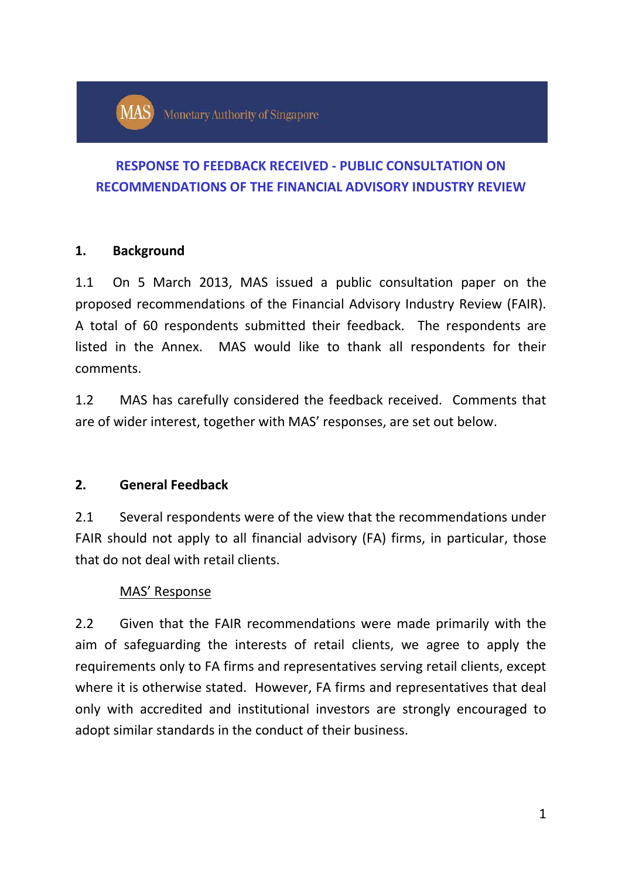# **RESPONSE TO FEEDBACK RECEIVED - PUBLIC CONSULTATION ON RECOMMENDATIONS OF THE FINANCIAL ADVISORY INDUSTRY REVIEW**

## **1. Background**

1.1 On 5 March 2013, MAS issued a public consultation paper on the proposed recommendations of the Financial Advisory Industry Review (FAIR). A total of 60 respondents submitted their feedback. The respondents are listed in the Annex. MAS would like to thank all respondents for their comments.

1.2 MAS has carefully considered the feedback received. Comments that are of wider interest, together with MAS' responses, are set out below.

## **2. General Feedback**

2.1 Several respondents were of the view that the recommendations under FAIR should not apply to all financial advisory (FA) firms, in particular, those that do not deal with retail clients.

## MAS' Response

2.2 Given that the FAIR recommendations were made primarily with the aim of safeguarding the interests of retail clients, we agree to apply the requirements only to FA firms and representatives serving retail clients, except where it is otherwise stated. However, FA firms and representatives that deal only with accredited and institutional investors are strongly encouraged to adopt similar standards in the conduct of their business.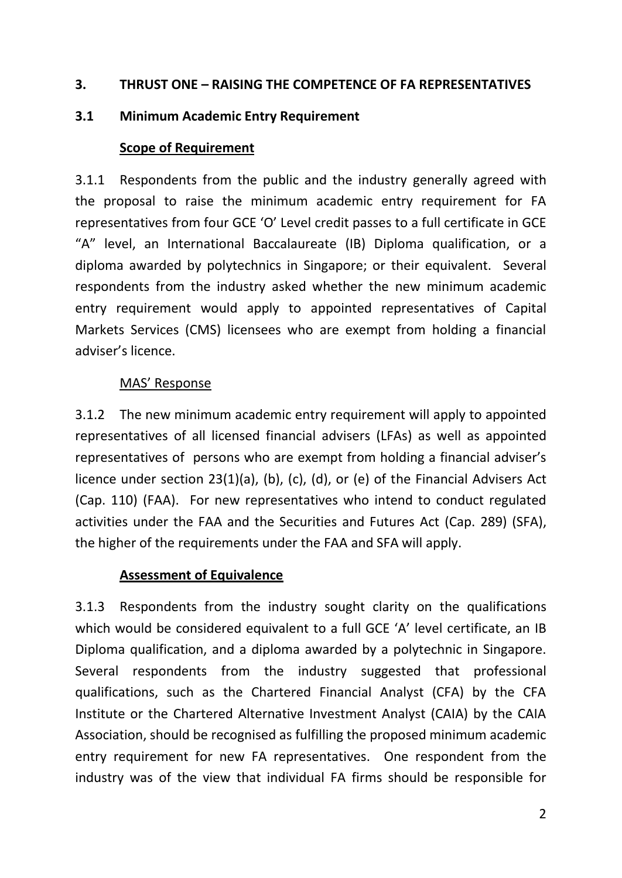#### **3. THRUST ONE – RAISING THE COMPETENCE OF FA REPRESENTATIVES**

#### **3.1 Minimum Academic Entry Requirement**

#### **Scope of Requirement**

3.1.1 Respondents from the public and the industry generally agreed with the proposal to raise the minimum academic entry requirement for FA representatives from four GCE 'O' Level credit passes to a full certificate in GCE "A" level, an International Baccalaureate (IB) Diploma qualification, or a diploma awarded by polytechnics in Singapore; or their equivalent. Several respondents from the industry asked whether the new minimum academic entry requirement would apply to appointed representatives of Capital Markets Services (CMS) licensees who are exempt from holding a financial adviser's licence.

#### MAS' Response

3.1.2 The new minimum academic entry requirement will apply to appointed representatives of all licensed financial advisers (LFAs) as well as appointed representatives of persons who are exempt from holding a financial adviser's licence under section 23(1)(a), (b), (c), (d), or (e) of the Financial Advisers Act (Cap. 110) (FAA). For new representatives who intend to conduct regulated activities under the FAA and the Securities and Futures Act (Cap. 289) (SFA), the higher of the requirements under the FAA and SFA will apply.

### **Assessment of Equivalence**

3.1.3 Respondents from the industry sought clarity on the qualifications which would be considered equivalent to a full GCE 'A' level certificate, an IB Diploma qualification, and a diploma awarded by a polytechnic in Singapore. Several respondents from the industry suggested that professional qualifications, such as the Chartered Financial Analyst (CFA) by the CFA Institute or the Chartered Alternative Investment Analyst (CAIA) by the CAIA Association, should be recognised as fulfilling the proposed minimum academic entry requirement for new FA representatives. One respondent from the industry was of the view that individual FA firms should be responsible for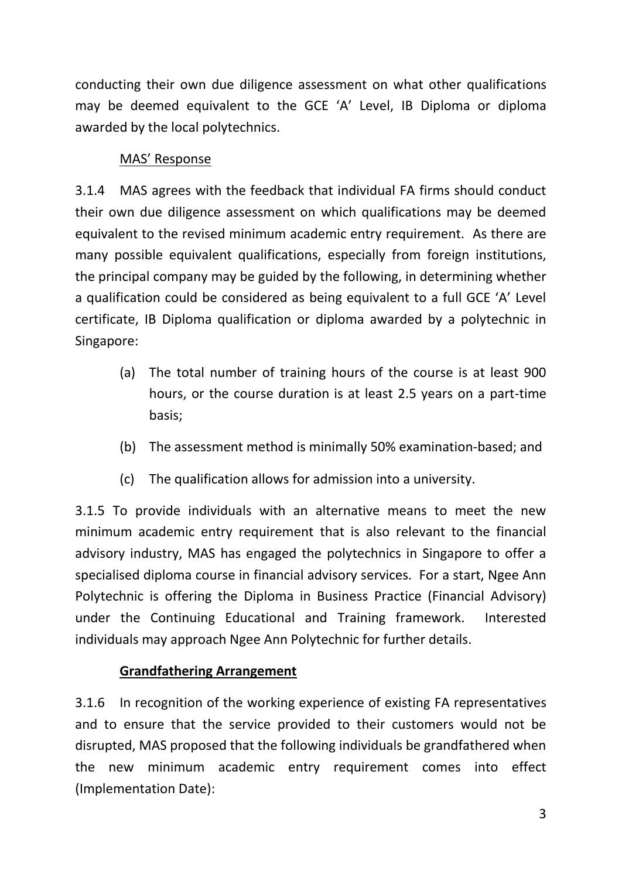conducting their own due diligence assessment on what other qualifications may be deemed equivalent to the GCE 'A' Level, IB Diploma or diploma awarded by the local polytechnics.

## MAS' Response

3.1.4 MAS agrees with the feedback that individual FA firms should conduct their own due diligence assessment on which qualifications may be deemed equivalent to the revised minimum academic entry requirement. As there are many possible equivalent qualifications, especially from foreign institutions, the principal company may be guided by the following, in determining whether a qualification could be considered as being equivalent to a full GCE 'A' Level certificate, IB Diploma qualification or diploma awarded by a polytechnic in Singapore:

- (a) The total number of training hours of the course is at least 900 hours, or the course duration is at least 2.5 years on a part-time basis;
- (b) The assessment method is minimally 50% examination-based; and
- (c) The qualification allows for admission into a university.

3.1.5 To provide individuals with an alternative means to meet the new minimum academic entry requirement that is also relevant to the financial advisory industry, MAS has engaged the polytechnics in Singapore to offer a specialised diploma course in financial advisory services. For a start, Ngee Ann Polytechnic is offering the Diploma in Business Practice (Financial Advisory) under the Continuing Educational and Training framework. Interested individuals may approach Ngee Ann Polytechnic for further details.

## **Grandfathering Arrangement**

3.1.6 In recognition of the working experience of existing FA representatives and to ensure that the service provided to their customers would not be disrupted, MAS proposed that the following individuals be grandfathered when the new minimum academic entry requirement comes into effect (Implementation Date):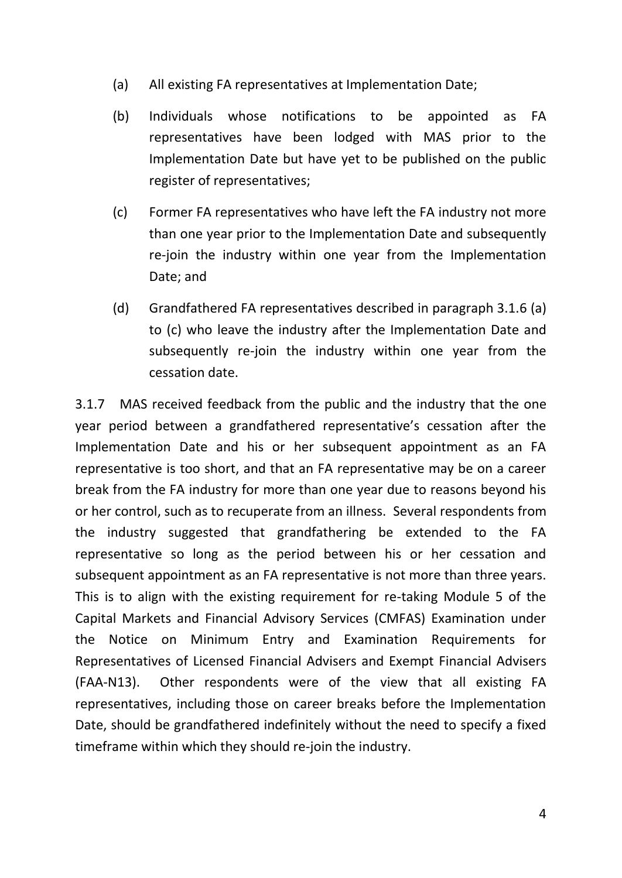- (a) All existing FA representatives at Implementation Date;
- (b) Individuals whose notifications to be appointed as FA representatives have been lodged with MAS prior to the Implementation Date but have yet to be published on the public register of representatives;
- (c) Former FA representatives who have left the FA industry not more than one year prior to the Implementation Date and subsequently re-join the industry within one year from the Implementation Date; and
- (d) Grandfathered FA representatives described in paragraph 3.1.6 (a) to (c) who leave the industry after the Implementation Date and subsequently re-join the industry within one year from the cessation date.

3.1.7 MAS received feedback from the public and the industry that the one year period between a grandfathered representative's cessation after the Implementation Date and his or her subsequent appointment as an FA representative is too short, and that an FA representative may be on a career break from the FA industry for more than one year due to reasons beyond his or her control, such as to recuperate from an illness. Several respondents from the industry suggested that grandfathering be extended to the FA representative so long as the period between his or her cessation and subsequent appointment as an FA representative is not more than three years. This is to align with the existing requirement for re-taking Module 5 of the Capital Markets and Financial Advisory Services (CMFAS) Examination under the Notice on Minimum Entry and Examination Requirements for Representatives of Licensed Financial Advisers and Exempt Financial Advisers (FAA-N13). Other respondents were of the view that all existing FA representatives, including those on career breaks before the Implementation Date, should be grandfathered indefinitely without the need to specify a fixed timeframe within which they should re-join the industry.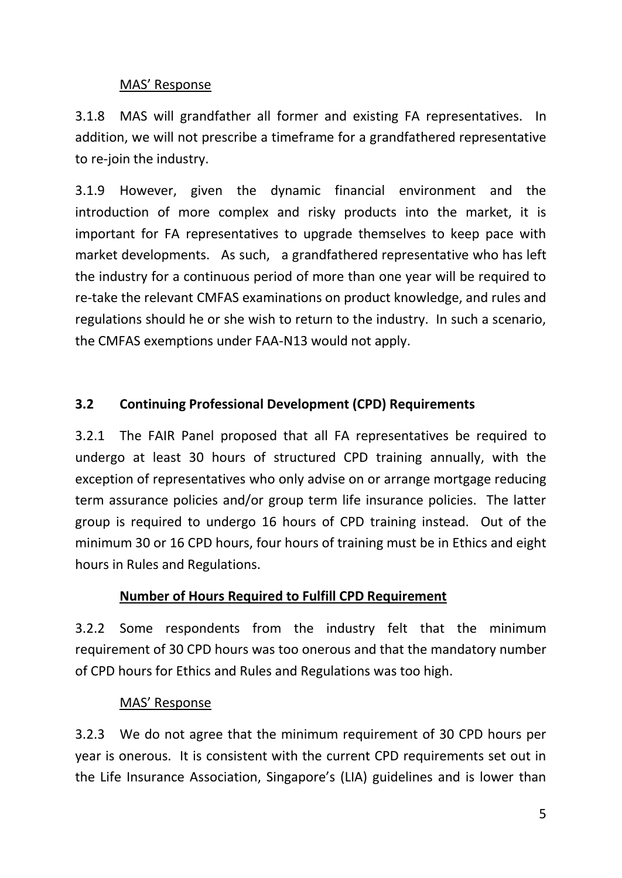## MAS' Response

3.1.8 MAS will grandfather all former and existing FA representatives. In addition, we will not prescribe a timeframe for a grandfathered representative to re-join the industry.

3.1.9 However, given the dynamic financial environment and the introduction of more complex and risky products into the market, it is important for FA representatives to upgrade themselves to keep pace with market developments. As such, a grandfathered representative who has left the industry for a continuous period of more than one year will be required to re-take the relevant CMFAS examinations on product knowledge, and rules and regulations should he or she wish to return to the industry. In such a scenario, the CMFAS exemptions under FAA-N13 would not apply.

# **3.2 Continuing Professional Development (CPD) Requirements**

3.2.1 The FAIR Panel proposed that all FA representatives be required to undergo at least 30 hours of structured CPD training annually, with the exception of representatives who only advise on or arrange mortgage reducing term assurance policies and/or group term life insurance policies. The latter group is required to undergo 16 hours of CPD training instead. Out of the minimum 30 or 16 CPD hours, four hours of training must be in Ethics and eight hours in Rules and Regulations.

## **Number of Hours Required to Fulfill CPD Requirement**

3.2.2 Some respondents from the industry felt that the minimum requirement of 30 CPD hours was too onerous and that the mandatory number of CPD hours for Ethics and Rules and Regulations was too high.

## MAS' Response

3.2.3 We do not agree that the minimum requirement of 30 CPD hours per year is onerous. It is consistent with the current CPD requirements set out in the Life Insurance Association, Singapore's (LIA) guidelines and is lower than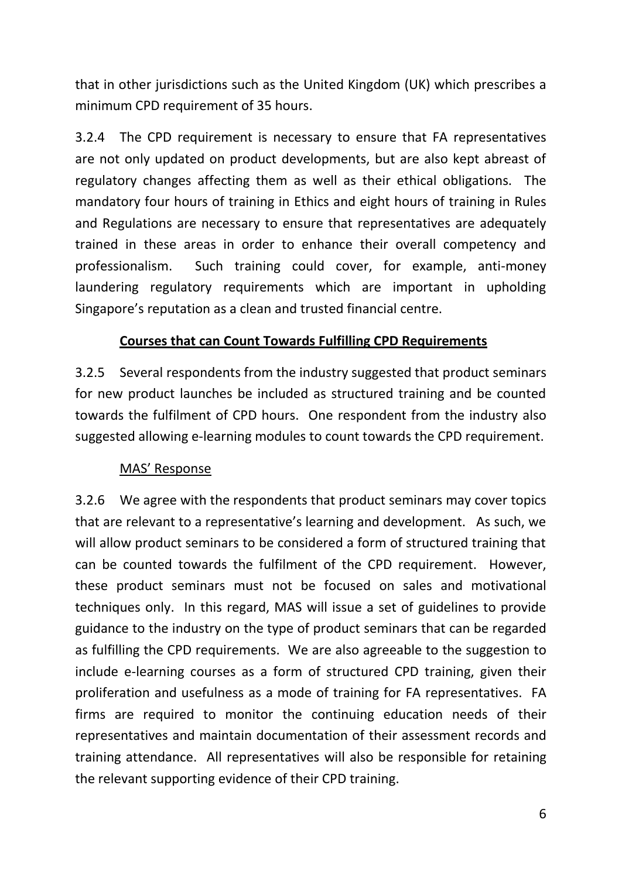that in other jurisdictions such as the United Kingdom (UK) which prescribes a minimum CPD requirement of 35 hours.

3.2.4 The CPD requirement is necessary to ensure that FA representatives are not only updated on product developments, but are also kept abreast of regulatory changes affecting them as well as their ethical obligations. The mandatory four hours of training in Ethics and eight hours of training in Rules and Regulations are necessary to ensure that representatives are adequately trained in these areas in order to enhance their overall competency and professionalism. Such training could cover, for example, anti-money laundering regulatory requirements which are important in upholding Singapore's reputation as a clean and trusted financial centre.

## **Courses that can Count Towards Fulfilling CPD Requirements**

3.2.5 Several respondents from the industry suggested that product seminars for new product launches be included as structured training and be counted towards the fulfilment of CPD hours. One respondent from the industry also suggested allowing e-learning modules to count towards the CPD requirement.

### MAS' Response

3.2.6 We agree with the respondents that product seminars may cover topics that are relevant to a representative's learning and development. As such, we will allow product seminars to be considered a form of structured training that can be counted towards the fulfilment of the CPD requirement. However, these product seminars must not be focused on sales and motivational techniques only. In this regard, MAS will issue a set of guidelines to provide guidance to the industry on the type of product seminars that can be regarded as fulfilling the CPD requirements. We are also agreeable to the suggestion to include e-learning courses as a form of structured CPD training, given their proliferation and usefulness as a mode of training for FA representatives. FA firms are required to monitor the continuing education needs of their representatives and maintain documentation of their assessment records and training attendance. All representatives will also be responsible for retaining the relevant supporting evidence of their CPD training.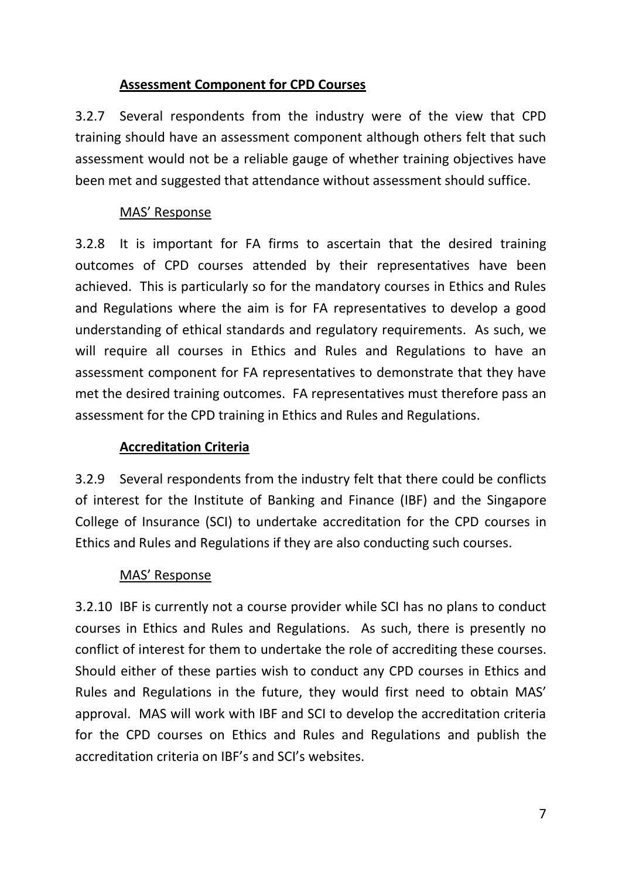## **Assessment Component for CPD Courses**

3.2.7 Several respondents from the industry were of the view that CPD training should have an assessment component although others felt that such assessment would not be a reliable gauge of whether training objectives have been met and suggested that attendance without assessment should suffice.

## MAS' Response

3.2.8 It is important for FA firms to ascertain that the desired training outcomes of CPD courses attended by their representatives have been achieved. This is particularly so for the mandatory courses in Ethics and Rules and Regulations where the aim is for FA representatives to develop a good understanding of ethical standards and regulatory requirements. As such, we will require all courses in Ethics and Rules and Regulations to have an assessment component for FA representatives to demonstrate that they have met the desired training outcomes. FA representatives must therefore pass an assessment for the CPD training in Ethics and Rules and Regulations.

## **Accreditation Criteria**

3.2.9 Several respondents from the industry felt that there could be conflicts of interest for the Institute of Banking and Finance (IBF) and the Singapore College of Insurance (SCI) to undertake accreditation for the CPD courses in Ethics and Rules and Regulations if they are also conducting such courses.

## MAS' Response

3.2.10 IBF is currently not a course provider while SCI has no plans to conduct courses in Ethics and Rules and Regulations. As such, there is presently no conflict of interest for them to undertake the role of accrediting these courses. Should either of these parties wish to conduct any CPD courses in Ethics and Rules and Regulations in the future, they would first need to obtain MAS' approval. MAS will work with IBF and SCI to develop the accreditation criteria for the CPD courses on Ethics and Rules and Regulations and publish the accreditation criteria on IBF's and SCI's websites.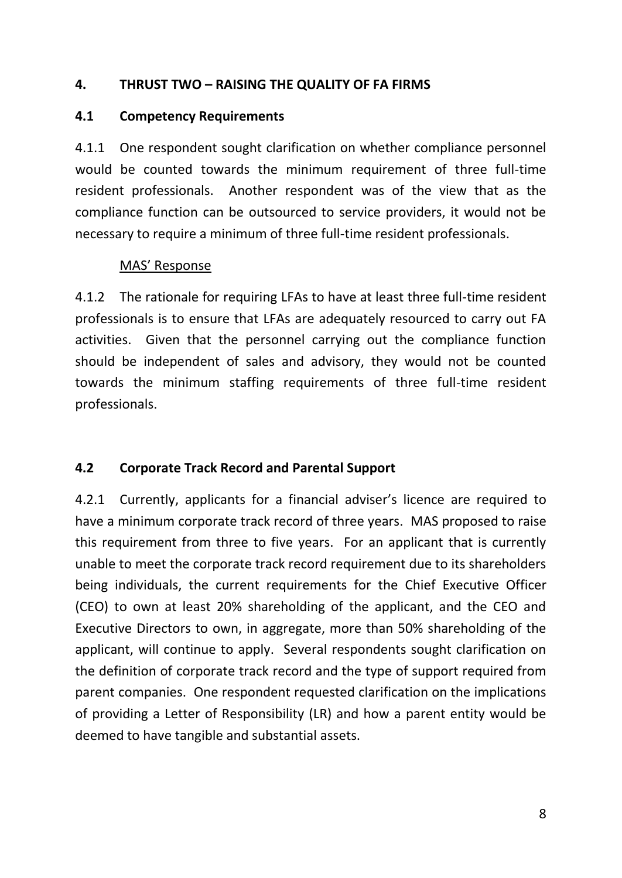#### **4. THRUST TWO – RAISING THE QUALITY OF FA FIRMS**

#### **4.1 Competency Requirements**

4.1.1 One respondent sought clarification on whether compliance personnel would be counted towards the minimum requirement of three full-time resident professionals. Another respondent was of the view that as the compliance function can be outsourced to service providers, it would not be necessary to require a minimum of three full-time resident professionals.

### MAS' Response

4.1.2 The rationale for requiring LFAs to have at least three full-time resident professionals is to ensure that LFAs are adequately resourced to carry out FA activities. Given that the personnel carrying out the compliance function should be independent of sales and advisory, they would not be counted towards the minimum staffing requirements of three full-time resident professionals.

## **4.2 Corporate Track Record and Parental Support**

4.2.1 Currently, applicants for a financial adviser's licence are required to have a minimum corporate track record of three years. MAS proposed to raise this requirement from three to five years. For an applicant that is currently unable to meet the corporate track record requirement due to its shareholders being individuals, the current requirements for the Chief Executive Officer (CEO) to own at least 20% shareholding of the applicant, and the CEO and Executive Directors to own, in aggregate, more than 50% shareholding of the applicant, will continue to apply. Several respondents sought clarification on the definition of corporate track record and the type of support required from parent companies. One respondent requested clarification on the implications of providing a Letter of Responsibility (LR) and how a parent entity would be deemed to have tangible and substantial assets.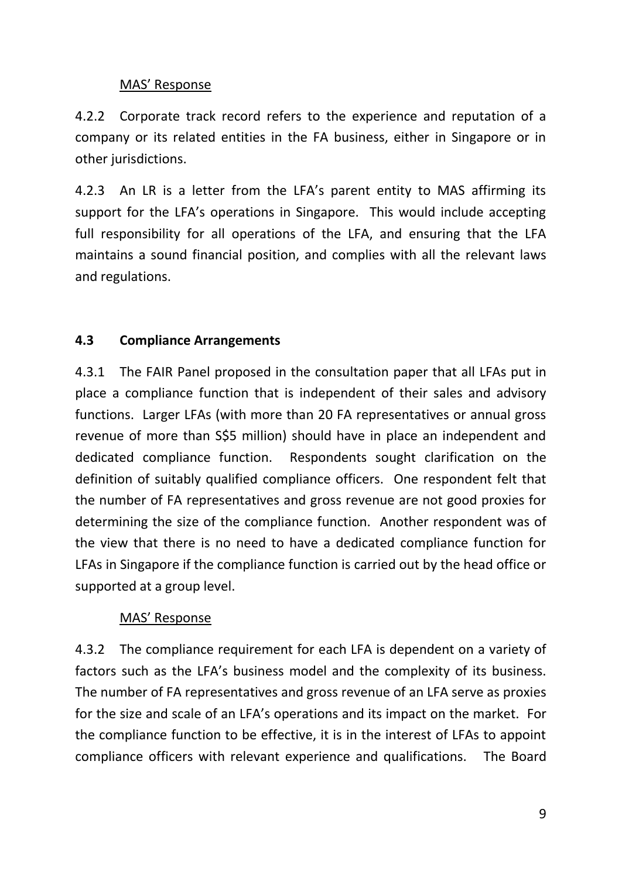## MAS' Response

4.2.2 Corporate track record refers to the experience and reputation of a company or its related entities in the FA business, either in Singapore or in other jurisdictions.

4.2.3 An LR is a letter from the LFA's parent entity to MAS affirming its support for the LFA's operations in Singapore. This would include accepting full responsibility for all operations of the LFA, and ensuring that the LFA maintains a sound financial position, and complies with all the relevant laws and regulations.

# **4.3 Compliance Arrangements**

4.3.1 The FAIR Panel proposed in the consultation paper that all LFAs put in place a compliance function that is independent of their sales and advisory functions. Larger LFAs (with more than 20 FA representatives or annual gross revenue of more than S\$5 million) should have in place an independent and dedicated compliance function. Respondents sought clarification on the definition of suitably qualified compliance officers. One respondent felt that the number of FA representatives and gross revenue are not good proxies for determining the size of the compliance function. Another respondent was of the view that there is no need to have a dedicated compliance function for LFAs in Singapore if the compliance function is carried out by the head office or supported at a group level.

## MAS' Response

4.3.2 The compliance requirement for each LFA is dependent on a variety of factors such as the LFA's business model and the complexity of its business. The number of FA representatives and gross revenue of an LFA serve as proxies for the size and scale of an LFA's operations and its impact on the market. For the compliance function to be effective, it is in the interest of LFAs to appoint compliance officers with relevant experience and qualifications. The Board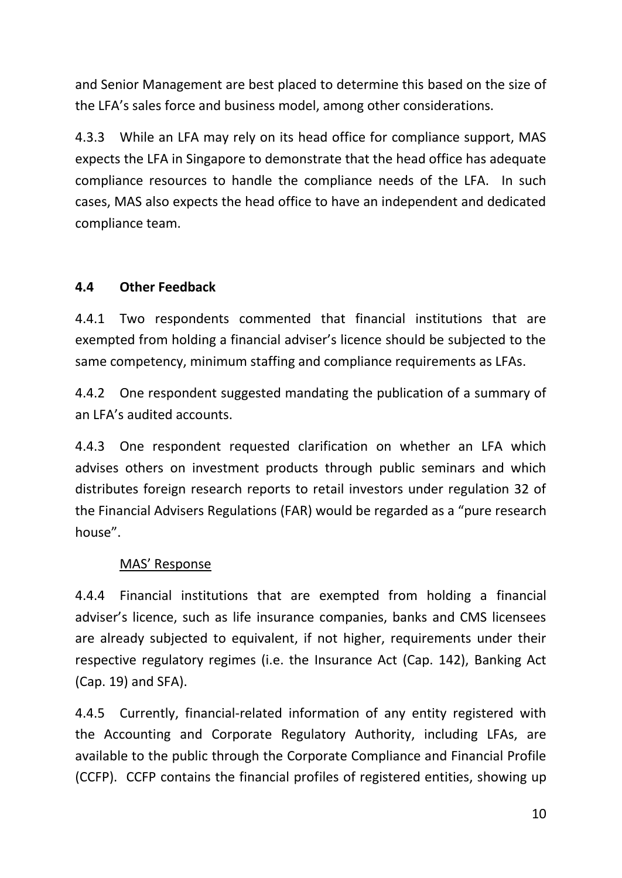and Senior Management are best placed to determine this based on the size of the LFA's sales force and business model, among other considerations.

4.3.3 While an LFA may rely on its head office for compliance support, MAS expects the LFA in Singapore to demonstrate that the head office has adequate compliance resources to handle the compliance needs of the LFA. In such cases, MAS also expects the head office to have an independent and dedicated compliance team.

# **4.4 Other Feedback**

4.4.1 Two respondents commented that financial institutions that are exempted from holding a financial adviser's licence should be subjected to the same competency, minimum staffing and compliance requirements as LFAs.

4.4.2 One respondent suggested mandating the publication of a summary of an LFA's audited accounts.

4.4.3 One respondent requested clarification on whether an LFA which advises others on investment products through public seminars and which distributes foreign research reports to retail investors under regulation 32 of the Financial Advisers Regulations (FAR) would be regarded as a "pure research house".

## MAS' Response

4.4.4 Financial institutions that are exempted from holding a financial adviser's licence, such as life insurance companies, banks and CMS licensees are already subjected to equivalent, if not higher, requirements under their respective regulatory regimes (i.e. the Insurance Act (Cap. 142), Banking Act (Cap. 19) and SFA).

4.4.5 Currently, financial-related information of any entity registered with the Accounting and Corporate Regulatory Authority, including LFAs, are available to the public through the Corporate Compliance and Financial Profile (CCFP). CCFP contains the financial profiles of registered entities, showing up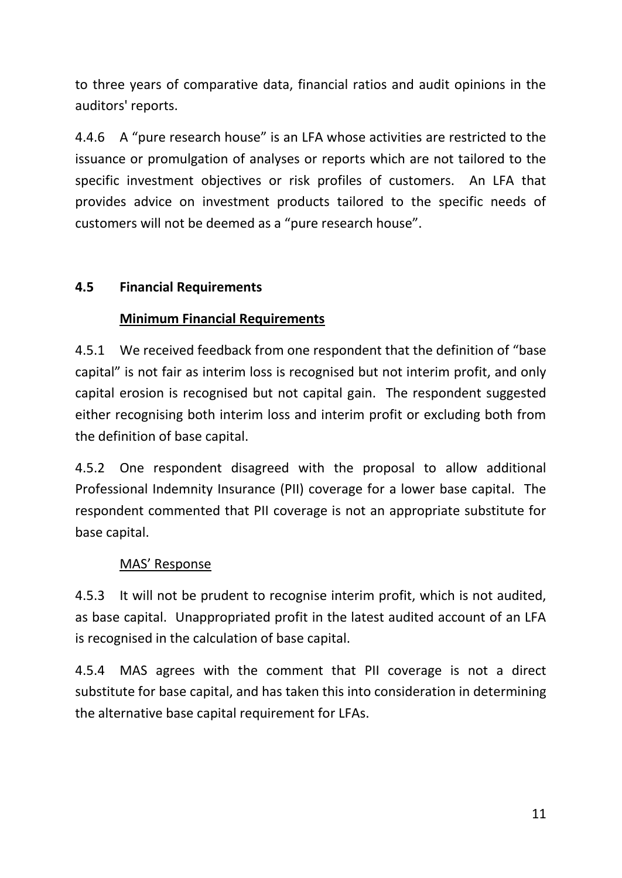to three years of comparative data, financial ratios and audit opinions in the auditors' reports.

4.4.6 A "pure research house" is an LFA whose activities are restricted to the issuance or promulgation of analyses or reports which are not tailored to the specific investment objectives or risk profiles of customers. An LFA that provides advice on investment products tailored to the specific needs of customers will not be deemed as a "pure research house".

## **4.5 Financial Requirements**

# **Minimum Financial Requirements**

4.5.1 We received feedback from one respondent that the definition of "base capital" is not fair as interim loss is recognised but not interim profit, and only capital erosion is recognised but not capital gain. The respondent suggested either recognising both interim loss and interim profit or excluding both from the definition of base capital.

4.5.2 One respondent disagreed with the proposal to allow additional Professional Indemnity Insurance (PII) coverage for a lower base capital. The respondent commented that PII coverage is not an appropriate substitute for base capital.

# MAS' Response

4.5.3 It will not be prudent to recognise interim profit, which is not audited, as base capital. Unappropriated profit in the latest audited account of an LFA is recognised in the calculation of base capital.

4.5.4 MAS agrees with the comment that PII coverage is not a direct substitute for base capital, and has taken this into consideration in determining the alternative base capital requirement for LFAs.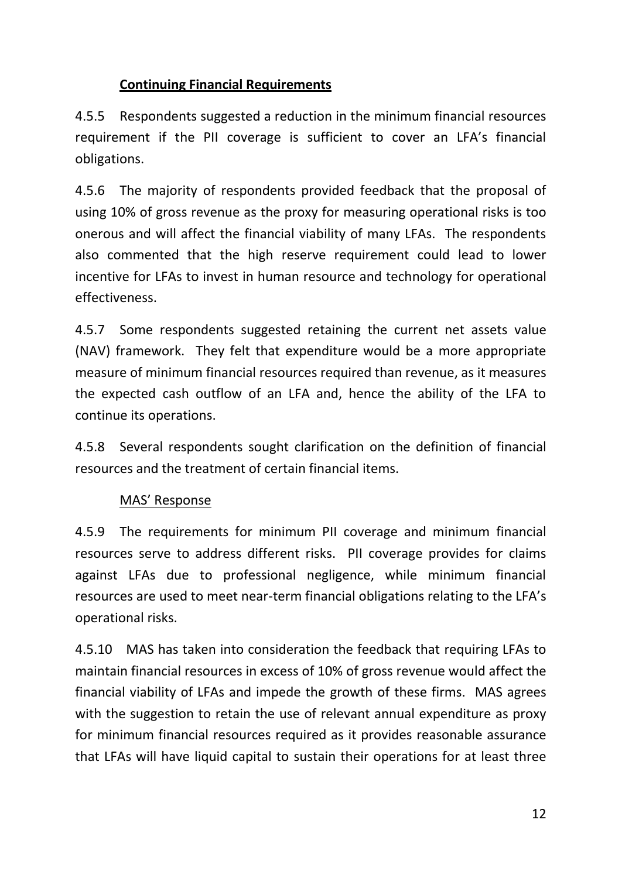## **Continuing Financial Requirements**

4.5.5 Respondents suggested a reduction in the minimum financial resources requirement if the PII coverage is sufficient to cover an LFA's financial obligations.

4.5.6 The majority of respondents provided feedback that the proposal of using 10% of gross revenue as the proxy for measuring operational risks is too onerous and will affect the financial viability of many LFAs. The respondents also commented that the high reserve requirement could lead to lower incentive for LFAs to invest in human resource and technology for operational effectiveness.

4.5.7 Some respondents suggested retaining the current net assets value (NAV) framework. They felt that expenditure would be a more appropriate measure of minimum financial resources required than revenue, as it measures the expected cash outflow of an LFA and, hence the ability of the LFA to continue its operations.

4.5.8 Several respondents sought clarification on the definition of financial resources and the treatment of certain financial items.

## MAS' Response

4.5.9 The requirements for minimum PII coverage and minimum financial resources serve to address different risks. PII coverage provides for claims against LFAs due to professional negligence, while minimum financial resources are used to meet near-term financial obligations relating to the LFA's operational risks.

4.5.10 MAS has taken into consideration the feedback that requiring LFAs to maintain financial resources in excess of 10% of gross revenue would affect the financial viability of LFAs and impede the growth of these firms. MAS agrees with the suggestion to retain the use of relevant annual expenditure as proxy for minimum financial resources required as it provides reasonable assurance that LFAs will have liquid capital to sustain their operations for at least three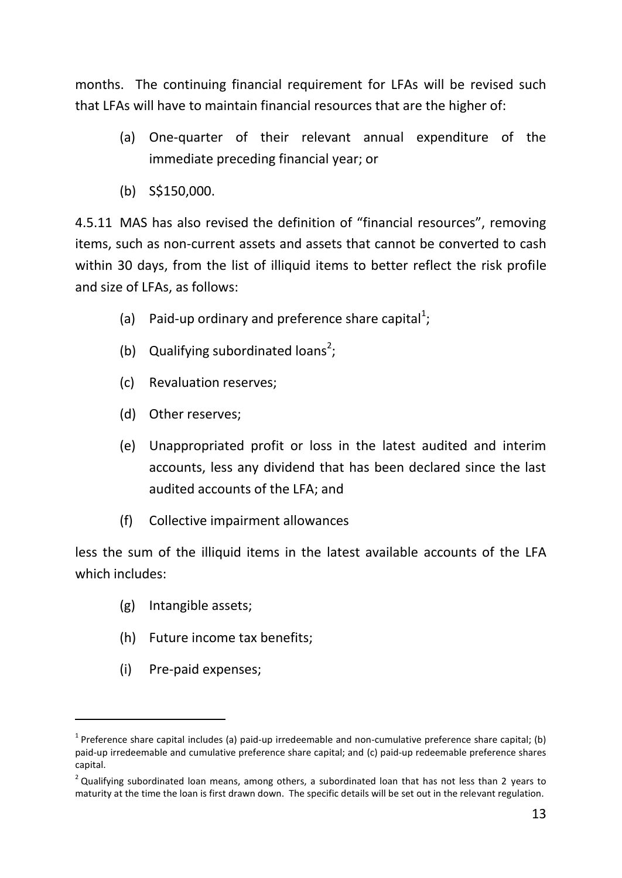months. The continuing financial requirement for LFAs will be revised such that LFAs will have to maintain financial resources that are the higher of:

- (a) One-quarter of their relevant annual expenditure of the immediate preceding financial year; or
- (b) S\$150,000.

4.5.11 MAS has also revised the definition of "financial resources", removing items, such as non-current assets and assets that cannot be converted to cash within 30 days, from the list of illiquid items to better reflect the risk profile and size of LFAs, as follows:

- (a) Paid-up ordinary and preference share capital<sup>1</sup>;
- (b) Qualifying subordinated loans<sup>2</sup>;
- (c) Revaluation reserves;
- (d) Other reserves;
- (e) Unappropriated profit or loss in the latest audited and interim accounts, less any dividend that has been declared since the last audited accounts of the LFA; and
- (f) Collective impairment allowances

less the sum of the illiquid items in the latest available accounts of the LFA which includes:

- (g) Intangible assets;
- (h) Future income tax benefits;
- (i) Pre‐paid expenses;

-

<sup>&</sup>lt;sup>1</sup> Preference share capital includes (a) paid-up irredeemable and non-cumulative preference share capital; (b) paid-up irredeemable and cumulative preference share capital; and (c) paid-up redeemable preference shares capital.

 $2$  Qualifying subordinated loan means, among others, a subordinated loan that has not less than 2 years to maturity at the time the loan is first drawn down. The specific details will be set out in the relevant regulation.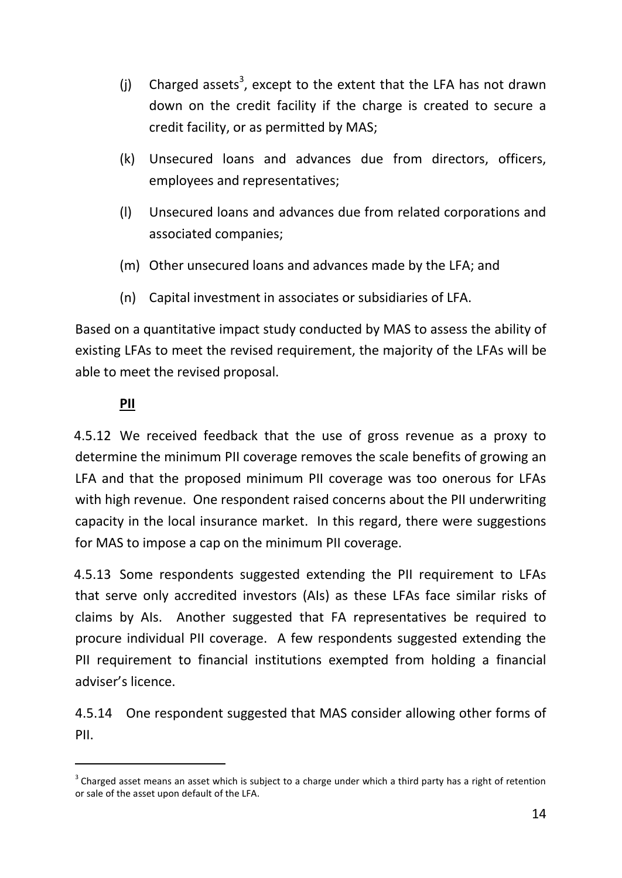- (j) Charged assets<sup>3</sup>, except to the extent that the LFA has not drawn down on the credit facility if the charge is created to secure a credit facility, or as permitted by MAS;
- (k) Unsecured loans and advances due from directors, officers, employees and representatives;
- (l) Unsecured loans and advances due from related corporations and associated companies;
- (m) Other unsecured loans and advances made by the LFA; and
- (n) Capital investment in associates or subsidiaries of LFA.

Based on a quantitative impact study conducted by MAS to assess the ability of existing LFAs to meet the revised requirement, the majority of the LFAs will be able to meet the revised proposal.

# **PII**

-

4.5.12 We received feedback that the use of gross revenue as a proxy to determine the minimum PII coverage removes the scale benefits of growing an LFA and that the proposed minimum PII coverage was too onerous for LFAs with high revenue. One respondent raised concerns about the PII underwriting capacity in the local insurance market. In this regard, there were suggestions for MAS to impose a cap on the minimum PII coverage.

4.5.13 Some respondents suggested extending the PII requirement to LFAs that serve only accredited investors (AIs) as these LFAs face similar risks of claims by AIs. Another suggested that FA representatives be required to procure individual PII coverage. A few respondents suggested extending the PII requirement to financial institutions exempted from holding a financial adviser's licence.

4.5.14 One respondent suggested that MAS consider allowing other forms of PII.

 $3$  Charged asset means an asset which is subject to a charge under which a third party has a right of retention or sale of the asset upon default of the LFA.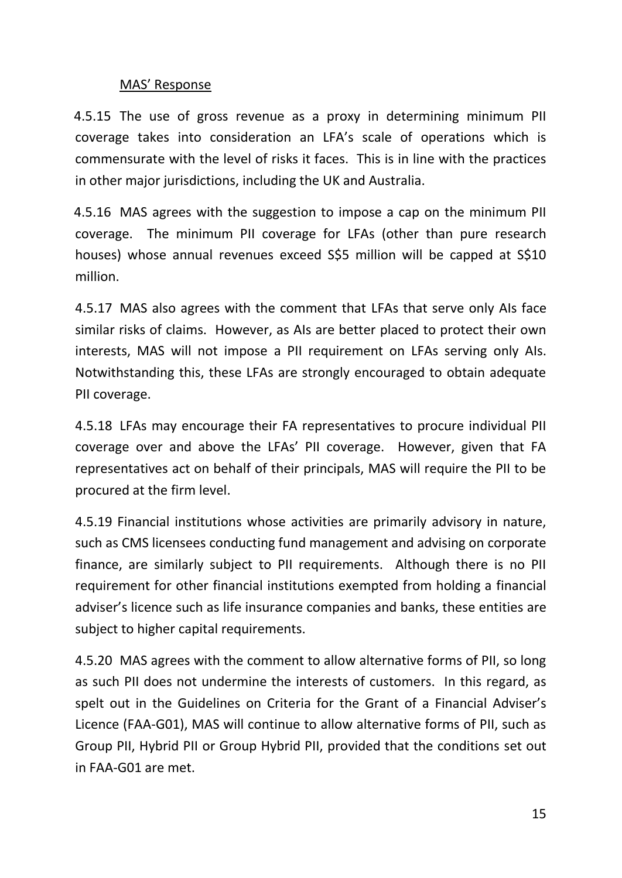## MAS' Response

4.5.15 The use of gross revenue as a proxy in determining minimum PII coverage takes into consideration an LFA's scale of operations which is commensurate with the level of risks it faces. This is in line with the practices in other major jurisdictions, including the UK and Australia.

4.5.16 MAS agrees with the suggestion to impose a cap on the minimum PII coverage. The minimum PII coverage for LFAs (other than pure research houses) whose annual revenues exceed S\$5 million will be capped at S\$10 million.

4.5.17 MAS also agrees with the comment that LFAs that serve only AIs face similar risks of claims. However, as AIs are better placed to protect their own interests, MAS will not impose a PII requirement on LFAs serving only AIs. Notwithstanding this, these LFAs are strongly encouraged to obtain adequate PII coverage.

4.5.18 LFAs may encourage their FA representatives to procure individual PII coverage over and above the LFAs' PII coverage. However, given that FA representatives act on behalf of their principals, MAS will require the PII to be procured at the firm level.

4.5.19 Financial institutions whose activities are primarily advisory in nature, such as CMS licensees conducting fund management and advising on corporate finance, are similarly subject to PII requirements. Although there is no PII requirement for other financial institutions exempted from holding a financial adviser's licence such as life insurance companies and banks, these entities are subject to higher capital requirements.

4.5.20 MAS agrees with the comment to allow alternative forms of PII, so long as such PII does not undermine the interests of customers. In this regard, as spelt out in the Guidelines on Criteria for the Grant of a Financial Adviser's Licence (FAA-G01), MAS will continue to allow alternative forms of PII, such as Group PII, Hybrid PII or Group Hybrid PII, provided that the conditions set out in FAA-G01 are met.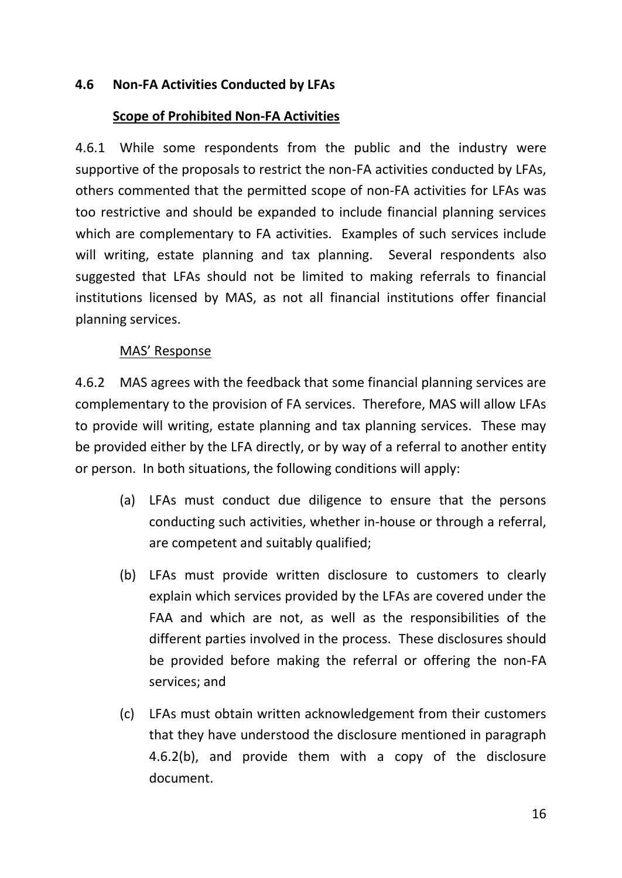## **4.6 Non-FA Activities Conducted by LFAs**

### **Scope of Prohibited Non-FA Activities**

4.6.1 While some respondents from the public and the industry were supportive of the proposals to restrict the non-FA activities conducted by LFAs, others commented that the permitted scope of non-FA activities for LFAs was too restrictive and should be expanded to include financial planning services which are complementary to FA activities. Examples of such services include will writing, estate planning and tax planning. Several respondents also suggested that LFAs should not be limited to making referrals to financial institutions licensed by MAS, as not all financial institutions offer financial planning services.

## MAS' Response

4.6.2 MAS agrees with the feedback that some financial planning services are complementary to the provision of FA services. Therefore, MAS will allow LFAs to provide will writing, estate planning and tax planning services. These may be provided either by the LFA directly, or by way of a referral to another entity or person. In both situations, the following conditions will apply:

- (a) LFAs must conduct due diligence to ensure that the persons conducting such activities, whether in-house or through a referral, are competent and suitably qualified;
- (b) LFAs must provide written disclosure to customers to clearly explain which services provided by the LFAs are covered under the FAA and which are not, as well as the responsibilities of the different parties involved in the process. These disclosures should be provided before making the referral or offering the non-FA services; and
- (c) LFAs must obtain written acknowledgement from their customers that they have understood the disclosure mentioned in paragraph 4.6.2(b), and provide them with a copy of the disclosure document.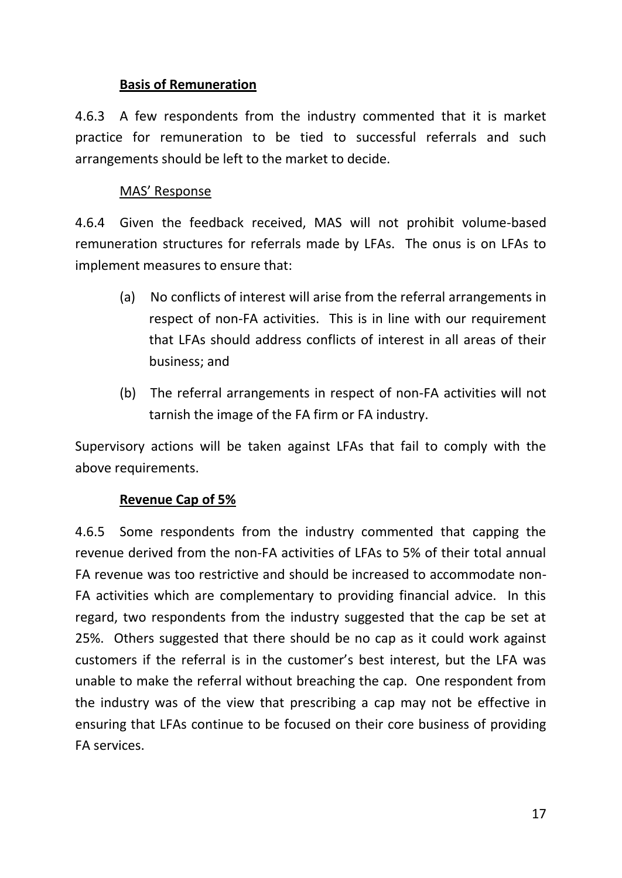## **Basis of Remuneration**

4.6.3 A few respondents from the industry commented that it is market practice for remuneration to be tied to successful referrals and such arrangements should be left to the market to decide.

## MAS' Response

4.6.4 Given the feedback received, MAS will not prohibit volume-based remuneration structures for referrals made by LFAs. The onus is on LFAs to implement measures to ensure that:

- (a) No conflicts of interest will arise from the referral arrangements in respect of non-FA activities. This is in line with our requirement that LFAs should address conflicts of interest in all areas of their business; and
- (b) The referral arrangements in respect of non-FA activities will not tarnish the image of the FA firm or FA industry.

Supervisory actions will be taken against LFAs that fail to comply with the above requirements.

## **Revenue Cap of 5%**

4.6.5 Some respondents from the industry commented that capping the revenue derived from the non‐FA activities of LFAs to 5% of their total annual FA revenue was too restrictive and should be increased to accommodate non-FA activities which are complementary to providing financial advice. In this regard, two respondents from the industry suggested that the cap be set at 25%. Others suggested that there should be no cap as it could work against customers if the referral is in the customer's best interest, but the LFA was unable to make the referral without breaching the cap. One respondent from the industry was of the view that prescribing a cap may not be effective in ensuring that LFAs continue to be focused on their core business of providing FA services.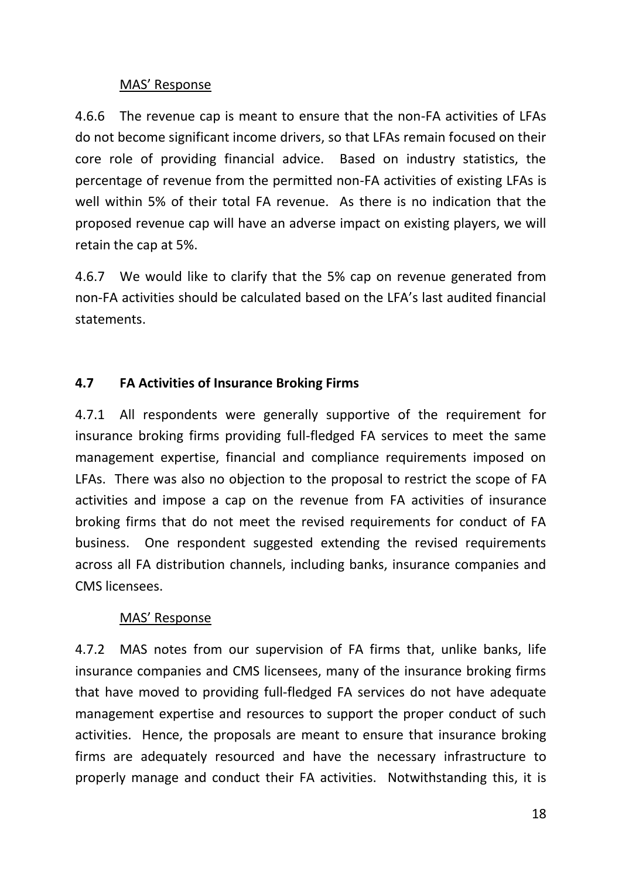## MAS' Response

4.6.6 The revenue cap is meant to ensure that the non-FA activities of LFAs do not become significant income drivers, so that LFAs remain focused on their core role of providing financial advice. Based on industry statistics, the percentage of revenue from the permitted non-FA activities of existing LFAs is well within 5% of their total FA revenue. As there is no indication that the proposed revenue cap will have an adverse impact on existing players, we will retain the cap at 5%.

4.6.7 We would like to clarify that the 5% cap on revenue generated from non-FA activities should be calculated based on the LFA's last audited financial statements.

# **4.7 FA Activities of Insurance Broking Firms**

4.7.1 All respondents were generally supportive of the requirement for insurance broking firms providing full-fledged FA services to meet the same management expertise, financial and compliance requirements imposed on LFAs. There was also no objection to the proposal to restrict the scope of FA activities and impose a cap on the revenue from FA activities of insurance broking firms that do not meet the revised requirements for conduct of FA business. One respondent suggested extending the revised requirements across all FA distribution channels, including banks, insurance companies and CMS licensees.

## MAS' Response

4.7.2 MAS notes from our supervision of FA firms that, unlike banks, life insurance companies and CMS licensees, many of the insurance broking firms that have moved to providing full-fledged FA services do not have adequate management expertise and resources to support the proper conduct of such activities. Hence, the proposals are meant to ensure that insurance broking firms are adequately resourced and have the necessary infrastructure to properly manage and conduct their FA activities. Notwithstanding this, it is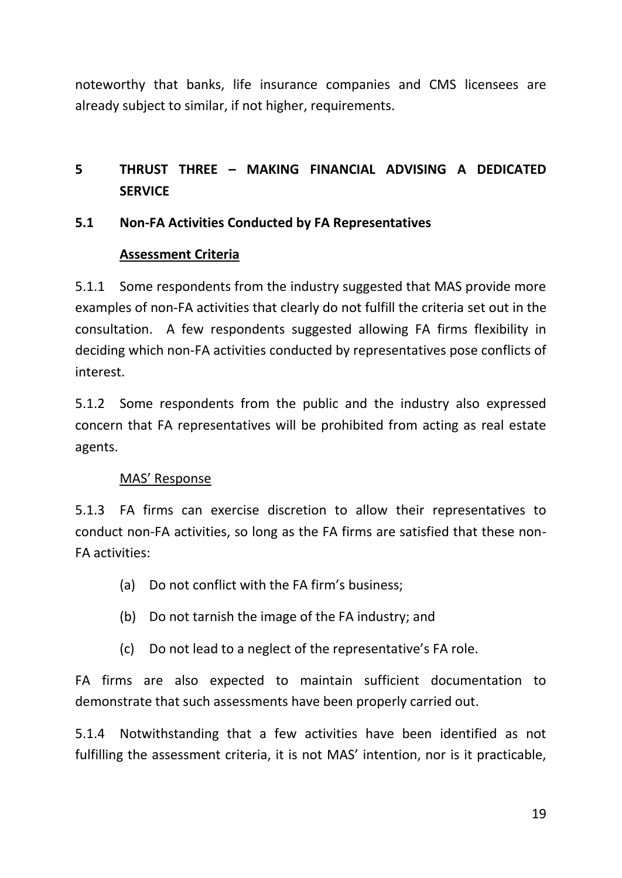noteworthy that banks, life insurance companies and CMS licensees are already subject to similar, if not higher, requirements.

# **5 THRUST THREE – MAKING FINANCIAL ADVISING A DEDICATED SERVICE**

## **5.1 Non-FA Activities Conducted by FA Representatives**

### **Assessment Criteria**

5.1.1 Some respondents from the industry suggested that MAS provide more examples of non-FA activities that clearly do not fulfill the criteria set out in the consultation. A few respondents suggested allowing FA firms flexibility in deciding which non-FA activities conducted by representatives pose conflicts of interest.

5.1.2 Some respondents from the public and the industry also expressed concern that FA representatives will be prohibited from acting as real estate agents.

## MAS' Response

5.1.3 FA firms can exercise discretion to allow their representatives to conduct non-FA activities, so long as the FA firms are satisfied that these non-FA activities:

- (a) Do not conflict with the FA firm's business;
- (b) Do not tarnish the image of the FA industry; and
- (c) Do not lead to a neglect of the representative's FA role.

FA firms are also expected to maintain sufficient documentation to demonstrate that such assessments have been properly carried out.

5.1.4 Notwithstanding that a few activities have been identified as not fulfilling the assessment criteria, it is not MAS' intention, nor is it practicable,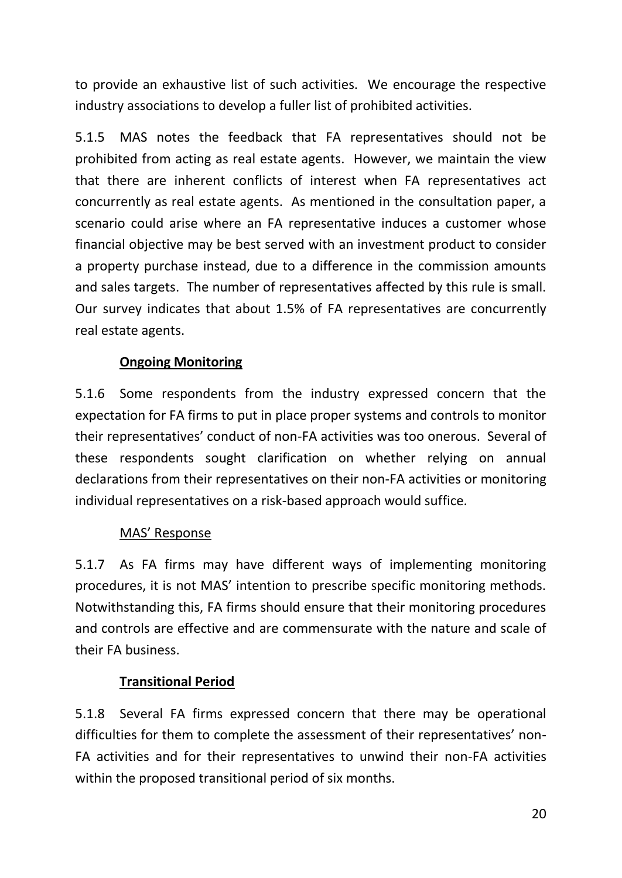to provide an exhaustive list of such activities. We encourage the respective industry associations to develop a fuller list of prohibited activities.

5.1.5 MAS notes the feedback that FA representatives should not be prohibited from acting as real estate agents. However, we maintain the view that there are inherent conflicts of interest when FA representatives act concurrently as real estate agents. As mentioned in the consultation paper, a scenario could arise where an FA representative induces a customer whose financial objective may be best served with an investment product to consider a property purchase instead, due to a difference in the commission amounts and sales targets. The number of representatives affected by this rule is small. Our survey indicates that about 1.5% of FA representatives are concurrently real estate agents.

# **Ongoing Monitoring**

5.1.6 Some respondents from the industry expressed concern that the expectation for FA firms to put in place proper systems and controls to monitor their representatives' conduct of non-FA activities was too onerous. Several of these respondents sought clarification on whether relying on annual declarations from their representatives on their non-FA activities or monitoring individual representatives on a risk-based approach would suffice.

## MAS' Response

5.1.7 As FA firms may have different ways of implementing monitoring procedures, it is not MAS' intention to prescribe specific monitoring methods. Notwithstanding this, FA firms should ensure that their monitoring procedures and controls are effective and are commensurate with the nature and scale of their FA business.

## **Transitional Period**

5.1.8 Several FA firms expressed concern that there may be operational difficulties for them to complete the assessment of their representatives' non-FA activities and for their representatives to unwind their non-FA activities within the proposed transitional period of six months.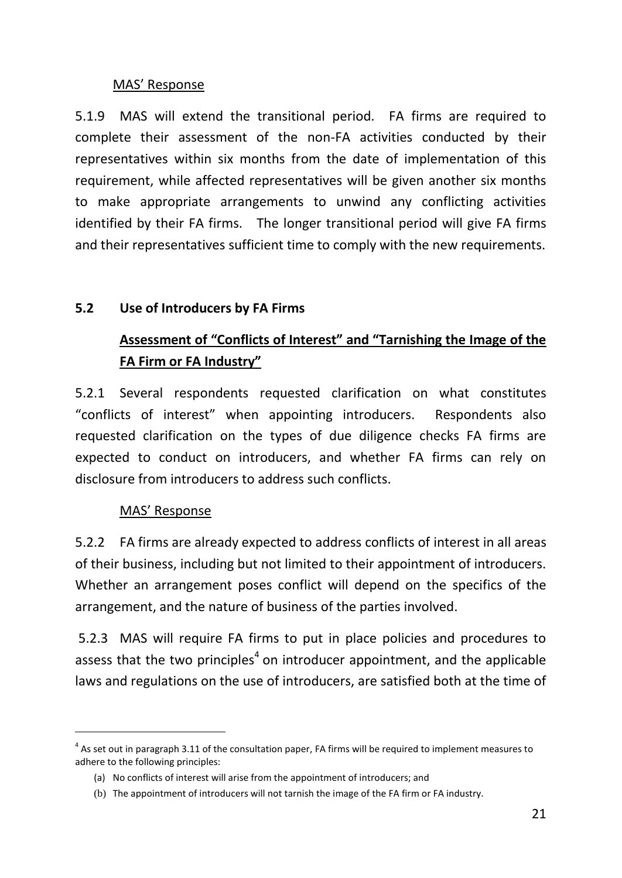## MAS' Response

5.1.9 MAS will extend the transitional period. FA firms are required to complete their assessment of the non-FA activities conducted by their representatives within six months from the date of implementation of this requirement, while affected representatives will be given another six months to make appropriate arrangements to unwind any conflicting activities identified by their FA firms. The longer transitional period will give FA firms and their representatives sufficient time to comply with the new requirements.

## **5.2 Use of Introducers by FA Firms**

# **Assessment of "Conflicts of Interest" and "Tarnishing the Image of the FA Firm or FA Industry"**

5.2.1 Several respondents requested clarification on what constitutes "conflicts of interest" when appointing introducers. Respondents also requested clarification on the types of due diligence checks FA firms are expected to conduct on introducers, and whether FA firms can rely on disclosure from introducers to address such conflicts.

## MAS' Response

-

5.2.2 FA firms are already expected to address conflicts of interest in all areas of their business, including but not limited to their appointment of introducers. Whether an arrangement poses conflict will depend on the specifics of the arrangement, and the nature of business of the parties involved.

5.2.3 MAS will require FA firms to put in place policies and procedures to assess that the two principles<sup>4</sup> on introducer appointment, and the applicable laws and regulations on the use of introducers, are satisfied both at the time of

 $<sup>4</sup>$  As set out in paragraph 3.11 of the consultation paper, FA firms will be required to implement measures to</sup> adhere to the following principles:

<sup>(</sup>a) No conflicts of interest will arise from the appointment of introducers; and

<sup>(</sup>b) The appointment of introducers will not tarnish the image of the FA firm or FA industry.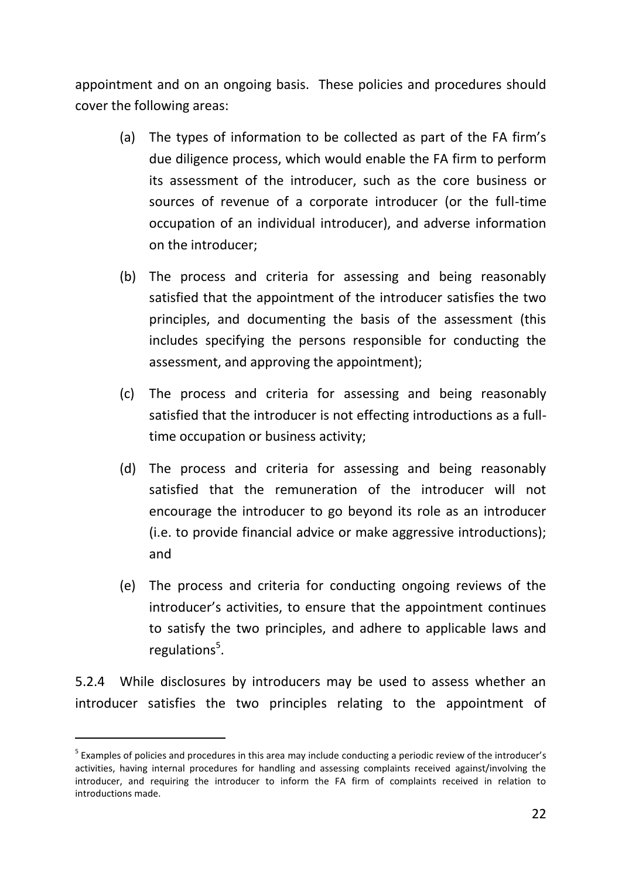appointment and on an ongoing basis. These policies and procedures should cover the following areas:

- (a) The types of information to be collected as part of the FA firm's due diligence process, which would enable the FA firm to perform its assessment of the introducer, such as the core business or sources of revenue of a corporate introducer (or the full-time occupation of an individual introducer), and adverse information on the introducer;
- (b) The process and criteria for assessing and being reasonably satisfied that the appointment of the introducer satisfies the two principles, and documenting the basis of the assessment (this includes specifying the persons responsible for conducting the assessment, and approving the appointment);
- (c) The process and criteria for assessing and being reasonably satisfied that the introducer is not effecting introductions as a fulltime occupation or business activity;
- (d) The process and criteria for assessing and being reasonably satisfied that the remuneration of the introducer will not encourage the introducer to go beyond its role as an introducer (i.e. to provide financial advice or make aggressive introductions); and
- (e) The process and criteria for conducting ongoing reviews of the introducer's activities, to ensure that the appointment continues to satisfy the two principles, and adhere to applicable laws and regulations<sup>5</sup>.

5.2.4 While disclosures by introducers may be used to assess whether an introducer satisfies the two principles relating to the appointment of

-

<sup>&</sup>lt;sup>5</sup> Examples of policies and procedures in this area may include conducting a periodic review of the introducer's activities, having internal procedures for handling and assessing complaints received against/involving the introducer, and requiring the introducer to inform the FA firm of complaints received in relation to introductions made.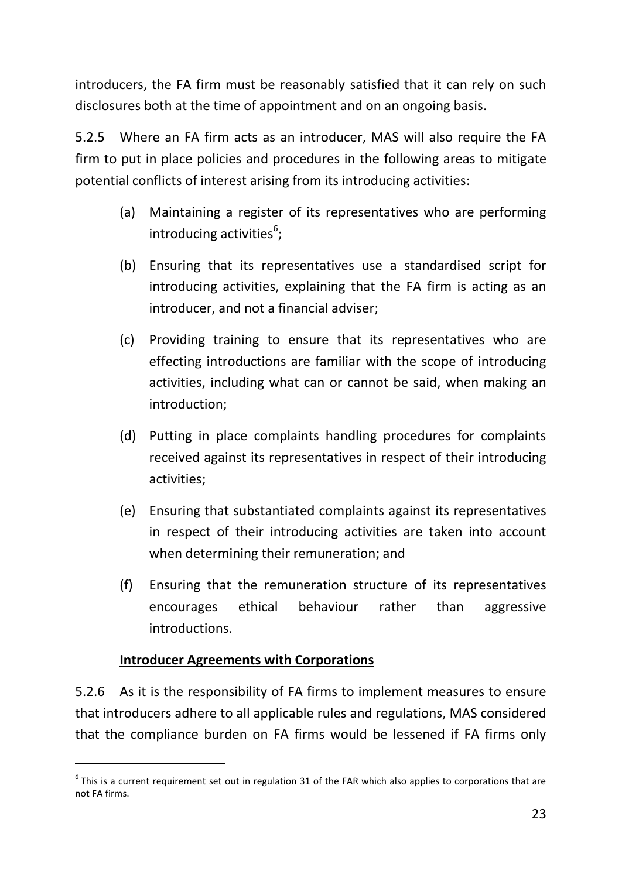introducers, the FA firm must be reasonably satisfied that it can rely on such disclosures both at the time of appointment and on an ongoing basis.

5.2.5 Where an FA firm acts as an introducer, MAS will also require the FA firm to put in place policies and procedures in the following areas to mitigate potential conflicts of interest arising from its introducing activities:

- (a) Maintaining a register of its representatives who are performing introducing activities<sup>6</sup>;
- (b) Ensuring that its representatives use a standardised script for introducing activities, explaining that the FA firm is acting as an introducer, and not a financial adviser;
- (c) Providing training to ensure that its representatives who are effecting introductions are familiar with the scope of introducing activities, including what can or cannot be said, when making an introduction;
- (d) Putting in place complaints handling procedures for complaints received against its representatives in respect of their introducing activities;
- (e) Ensuring that substantiated complaints against its representatives in respect of their introducing activities are taken into account when determining their remuneration; and
- (f) Ensuring that the remuneration structure of its representatives encourages ethical behaviour rather than aggressive introductions.

## **Introducer Agreements with Corporations**

-

5.2.6 As it is the responsibility of FA firms to implement measures to ensure that introducers adhere to all applicable rules and regulations, MAS considered that the compliance burden on FA firms would be lessened if FA firms only

 $<sup>6</sup>$ This is a current requirement set out in regulation 31 of the FAR which also applies to corporations that are</sup> not FA firms.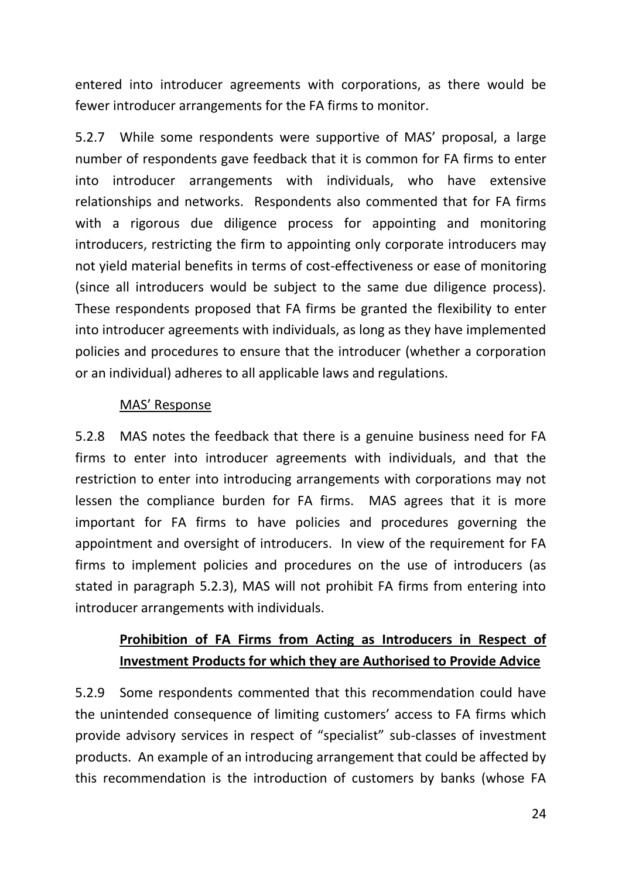entered into introducer agreements with corporations, as there would be fewer introducer arrangements for the FA firms to monitor.

5.2.7 While some respondents were supportive of MAS' proposal, a large number of respondents gave feedback that it is common for FA firms to enter into introducer arrangements with individuals, who have extensive relationships and networks. Respondents also commented that for FA firms with a rigorous due diligence process for appointing and monitoring introducers, restricting the firm to appointing only corporate introducers may not yield material benefits in terms of cost-effectiveness or ease of monitoring (since all introducers would be subject to the same due diligence process). These respondents proposed that FA firms be granted the flexibility to enter into introducer agreements with individuals, as long as they have implemented policies and procedures to ensure that the introducer (whether a corporation or an individual) adheres to all applicable laws and regulations.

## MAS' Response

5.2.8 MAS notes the feedback that there is a genuine business need for FA firms to enter into introducer agreements with individuals, and that the restriction to enter into introducing arrangements with corporations may not lessen the compliance burden for FA firms. MAS agrees that it is more important for FA firms to have policies and procedures governing the appointment and oversight of introducers. In view of the requirement for FA firms to implement policies and procedures on the use of introducers (as stated in paragraph 5.2.3), MAS will not prohibit FA firms from entering into introducer arrangements with individuals.

# **Prohibition of FA Firms from Acting as Introducers in Respect of Investment Products for which they are Authorised to Provide Advice**

5.2.9 Some respondents commented that this recommendation could have the unintended consequence of limiting customers' access to FA firms which provide advisory services in respect of "specialist" sub-classes of investment products. An example of an introducing arrangement that could be affected by this recommendation is the introduction of customers by banks (whose FA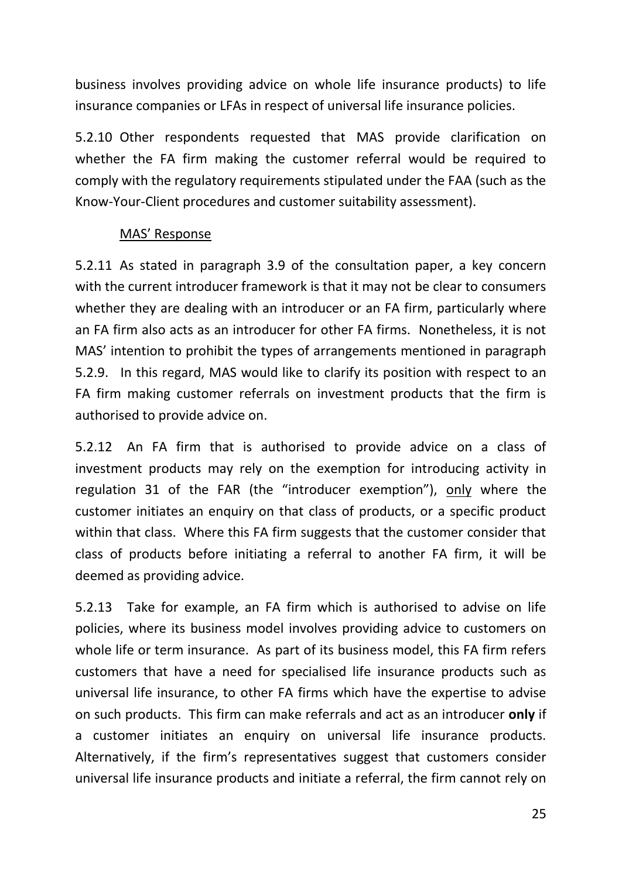business involves providing advice on whole life insurance products) to life insurance companies or LFAs in respect of universal life insurance policies.

5.2.10 Other respondents requested that MAS provide clarification on whether the FA firm making the customer referral would be required to comply with the regulatory requirements stipulated under the FAA (such as the Know-Your-Client procedures and customer suitability assessment).

### MAS' Response

5.2.11 As stated in paragraph 3.9 of the consultation paper, a key concern with the current introducer framework is that it may not be clear to consumers whether they are dealing with an introducer or an FA firm, particularly where an FA firm also acts as an introducer for other FA firms. Nonetheless, it is not MAS' intention to prohibit the types of arrangements mentioned in paragraph 5.2.9. In this regard, MAS would like to clarify its position with respect to an FA firm making customer referrals on investment products that the firm is authorised to provide advice on.

5.2.12 An FA firm that is authorised to provide advice on a class of investment products may rely on the exemption for introducing activity in regulation 31 of the FAR (the "introducer exemption"), only where the customer initiates an enquiry on that class of products, or a specific product within that class. Where this FA firm suggests that the customer consider that class of products before initiating a referral to another FA firm, it will be deemed as providing advice.

5.2.13 Take for example, an FA firm which is authorised to advise on life policies, where its business model involves providing advice to customers on whole life or term insurance. As part of its business model, this FA firm refers customers that have a need for specialised life insurance products such as universal life insurance, to other FA firms which have the expertise to advise on such products. This firm can make referrals and act as an introducer **only** if a customer initiates an enquiry on universal life insurance products. Alternatively, if the firm's representatives suggest that customers consider universal life insurance products and initiate a referral, the firm cannot rely on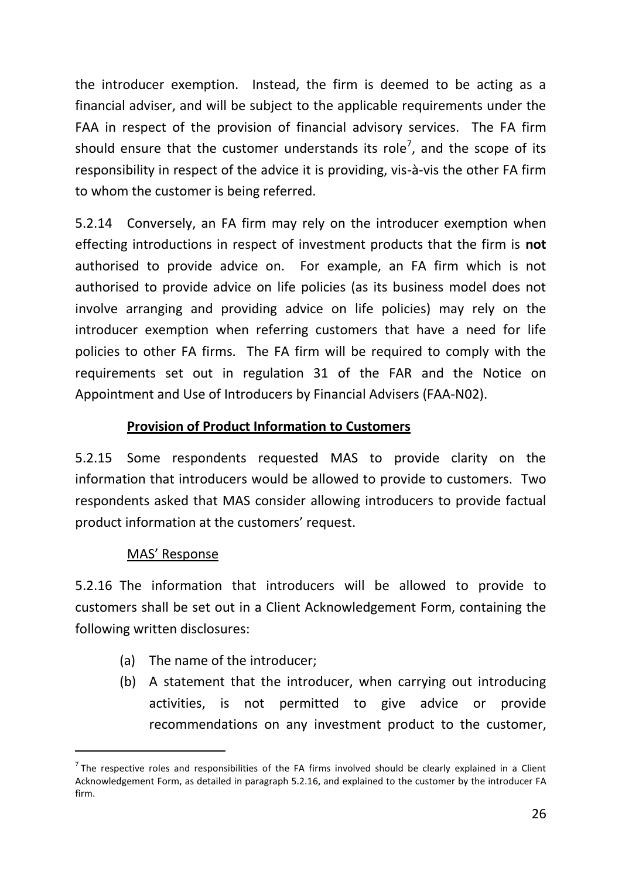the introducer exemption. Instead, the firm is deemed to be acting as a financial adviser, and will be subject to the applicable requirements under the FAA in respect of the provision of financial advisory services. The FA firm should ensure that the customer understands its role<sup>7</sup>, and the scope of its responsibility in respect of the advice it is providing, vis-à-vis the other FA firm to whom the customer is being referred.

5.2.14 Conversely, an FA firm may rely on the introducer exemption when effecting introductions in respect of investment products that the firm is **not** authorised to provide advice on. For example, an FA firm which is not authorised to provide advice on life policies (as its business model does not involve arranging and providing advice on life policies) may rely on the introducer exemption when referring customers that have a need for life policies to other FA firms. The FA firm will be required to comply with the requirements set out in regulation 31 of the FAR and the Notice on Appointment and Use of Introducers by Financial Advisers (FAA-N02).

## **Provision of Product Information to Customers**

5.2.15 Some respondents requested MAS to provide clarity on the information that introducers would be allowed to provide to customers. Two respondents asked that MAS consider allowing introducers to provide factual product information at the customers' request.

### MAS' Response

-

5.2.16 The information that introducers will be allowed to provide to customers shall be set out in a Client Acknowledgement Form, containing the following written disclosures:

- (a) The name of the introducer;
- (b) A statement that the introducer, when carrying out introducing activities, is not permitted to give advice or provide recommendations on any investment product to the customer,

 $<sup>7</sup>$  The respective roles and responsibilities of the FA firms involved should be clearly explained in a Client</sup> Acknowledgement Form, as detailed in paragraph 5.2.16, and explained to the customer by the introducer FA firm.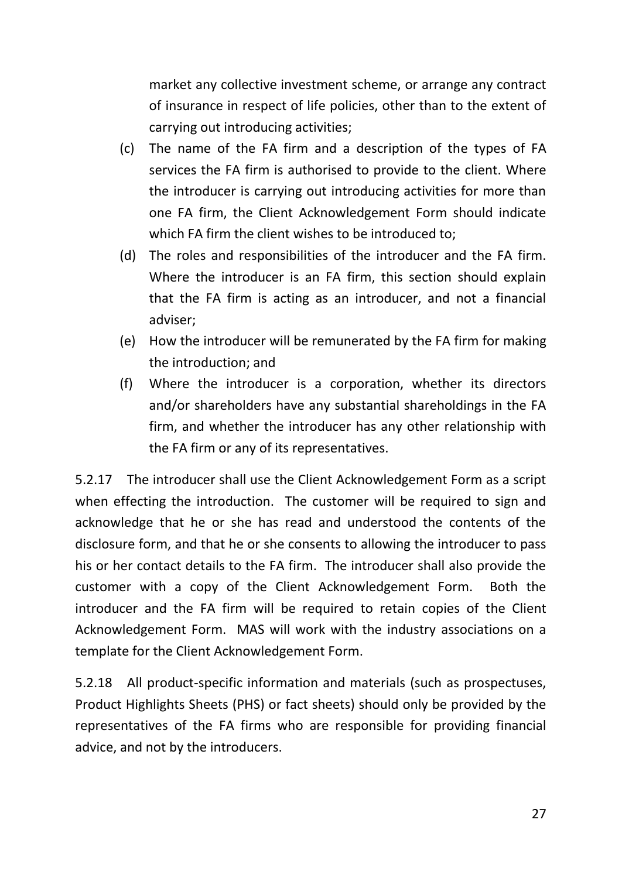market any collective investment scheme, or arrange any contract of insurance in respect of life policies, other than to the extent of carrying out introducing activities;

- (c) The name of the FA firm and a description of the types of FA services the FA firm is authorised to provide to the client. Where the introducer is carrying out introducing activities for more than one FA firm, the Client Acknowledgement Form should indicate which FA firm the client wishes to be introduced to;
- (d) The roles and responsibilities of the introducer and the FA firm. Where the introducer is an FA firm, this section should explain that the FA firm is acting as an introducer, and not a financial adviser;
- (e) How the introducer will be remunerated by the FA firm for making the introduction; and
- (f) Where the introducer is a corporation, whether its directors and/or shareholders have any substantial shareholdings in the FA firm, and whether the introducer has any other relationship with the FA firm or any of its representatives.

5.2.17 The introducer shall use the Client Acknowledgement Form as a script when effecting the introduction. The customer will be required to sign and acknowledge that he or she has read and understood the contents of the disclosure form, and that he or she consents to allowing the introducer to pass his or her contact details to the FA firm. The introducer shall also provide the customer with a copy of the Client Acknowledgement Form. Both the introducer and the FA firm will be required to retain copies of the Client Acknowledgement Form. MAS will work with the industry associations on a template for the Client Acknowledgement Form.

5.2.18 All product-specific information and materials (such as prospectuses, Product Highlights Sheets (PHS) or fact sheets) should only be provided by the representatives of the FA firms who are responsible for providing financial advice, and not by the introducers.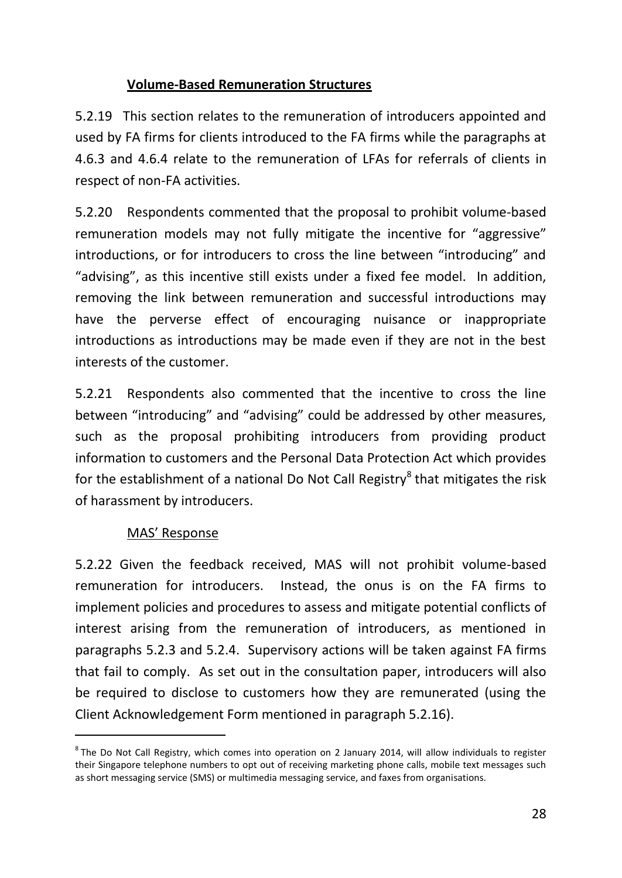## **Volume-Based Remuneration Structures**

5.2.19 This section relates to the remuneration of introducers appointed and used by FA firms for clients introduced to the FA firms while the paragraphs at 4.6.3 and 4.6.4 relate to the remuneration of LFAs for referrals of clients in respect of non-FA activities.

5.2.20 Respondents commented that the proposal to prohibit volume-based remuneration models may not fully mitigate the incentive for "aggressive" introductions, or for introducers to cross the line between "introducing" and "advising", as this incentive still exists under a fixed fee model. In addition, removing the link between remuneration and successful introductions may have the perverse effect of encouraging nuisance or inappropriate introductions as introductions may be made even if they are not in the best interests of the customer.

5.2.21 Respondents also commented that the incentive to cross the line between "introducing" and "advising" could be addressed by other measures, such as the proposal prohibiting introducers from providing product information to customers and the Personal Data Protection Act which provides for the establishment of a national Do Not Call Registry<sup>8</sup> that mitigates the risk of harassment by introducers.

## MAS' Response

-

5.2.22 Given the feedback received, MAS will not prohibit volume-based remuneration for introducers. Instead, the onus is on the FA firms to implement policies and procedures to assess and mitigate potential conflicts of interest arising from the remuneration of introducers, as mentioned in paragraphs 5.2.3 and 5.2.4. Supervisory actions will be taken against FA firms that fail to comply. As set out in the consultation paper, introducers will also be required to disclose to customers how they are remunerated (using the Client Acknowledgement Form mentioned in paragraph 5.2.16).

 ${}^{8}$ The Do Not Call Registry, which comes into operation on 2 January 2014, will allow individuals to register their Singapore telephone numbers to opt out of receiving marketing phone calls, mobile text messages such as short messaging service (SMS) or multimedia messaging service, and faxes from organisations.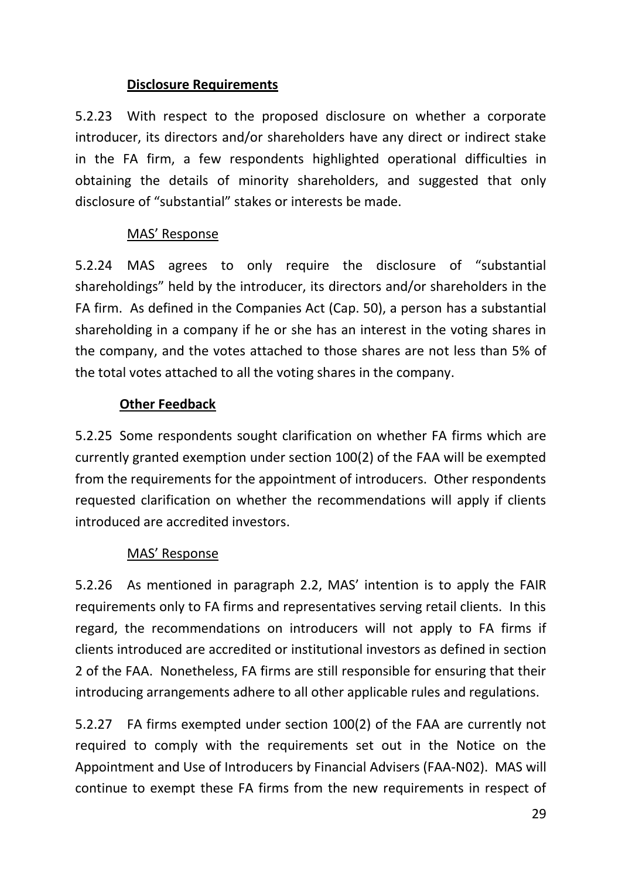## **Disclosure Requirements**

5.2.23 With respect to the proposed disclosure on whether a corporate introducer, its directors and/or shareholders have any direct or indirect stake in the FA firm, a few respondents highlighted operational difficulties in obtaining the details of minority shareholders, and suggested that only disclosure of "substantial" stakes or interests be made.

## MAS' Response

5.2.24 MAS agrees to only require the disclosure of "substantial shareholdings" held by the introducer, its directors and/or shareholders in the FA firm. As defined in the Companies Act (Cap. 50), a person has a substantial shareholding in a company if he or she has an interest in the voting shares in the company, and the votes attached to those shares are not less than 5% of the total votes attached to all the voting shares in the company.

## **Other Feedback**

5.2.25 Some respondents sought clarification on whether FA firms which are currently granted exemption under section 100(2) of the FAA will be exempted from the requirements for the appointment of introducers. Other respondents requested clarification on whether the recommendations will apply if clients introduced are accredited investors.

## MAS' Response

5.2.26 As mentioned in paragraph 2.2, MAS' intention is to apply the FAIR requirements only to FA firms and representatives serving retail clients. In this regard, the recommendations on introducers will not apply to FA firms if clients introduced are accredited or institutional investors as defined in section 2 of the FAA. Nonetheless, FA firms are still responsible for ensuring that their introducing arrangements adhere to all other applicable rules and regulations.

5.2.27 FA firms exempted under section 100(2) of the FAA are currently not required to comply with the requirements set out in the Notice on the Appointment and Use of Introducers by Financial Advisers (FAA-N02). MAS will continue to exempt these FA firms from the new requirements in respect of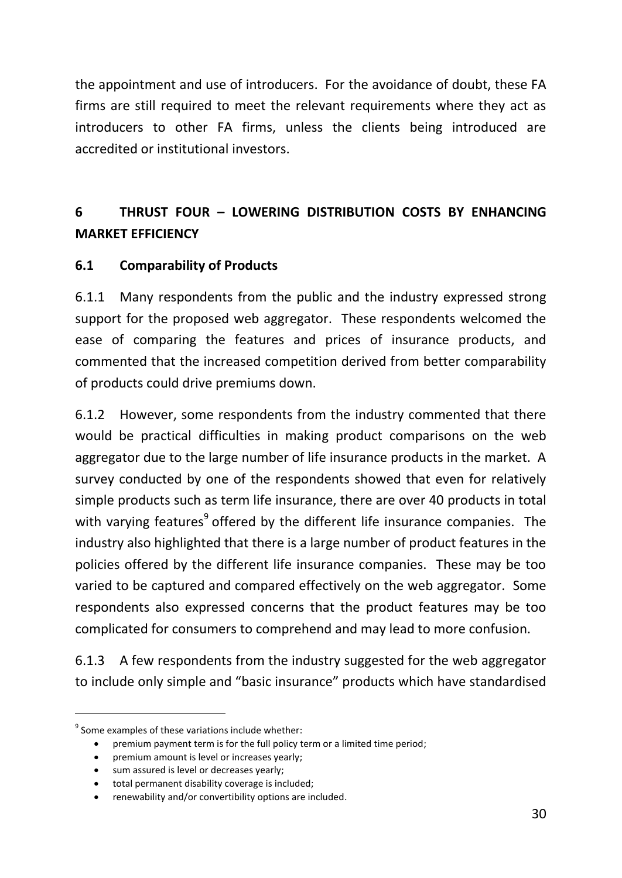the appointment and use of introducers. For the avoidance of doubt, these FA firms are still required to meet the relevant requirements where they act as introducers to other FA firms, unless the clients being introduced are accredited or institutional investors.

# **6 THRUST FOUR – LOWERING DISTRIBUTION COSTS BY ENHANCING MARKET EFFICIENCY**

## **6.1 Comparability of Products**

6.1.1 Many respondents from the public and the industry expressed strong support for the proposed web aggregator. These respondents welcomed the ease of comparing the features and prices of insurance products, and commented that the increased competition derived from better comparability of products could drive premiums down.

6.1.2 However, some respondents from the industry commented that there would be practical difficulties in making product comparisons on the web aggregator due to the large number of life insurance products in the market. A survey conducted by one of the respondents showed that even for relatively simple products such as term life insurance, there are over 40 products in total with varying features<sup>9</sup> offered by the different life insurance companies. The industry also highlighted that there is a large number of product features in the policies offered by the different life insurance companies. These may be too varied to be captured and compared effectively on the web aggregator. Some respondents also expressed concerns that the product features may be too complicated for consumers to comprehend and may lead to more confusion.

6.1.3 A few respondents from the industry suggested for the web aggregator to include only simple and "basic insurance" products which have standardised

-

<sup>&</sup>lt;sup>9</sup> Some examples of these variations include whether:

premium payment term is for the full policy term or a limited time period;

premium amount is level or increases yearly;

<sup>•</sup> sum assured is level or decreases yearly;

total permanent disability coverage is included;

renewability and/or convertibility options are included.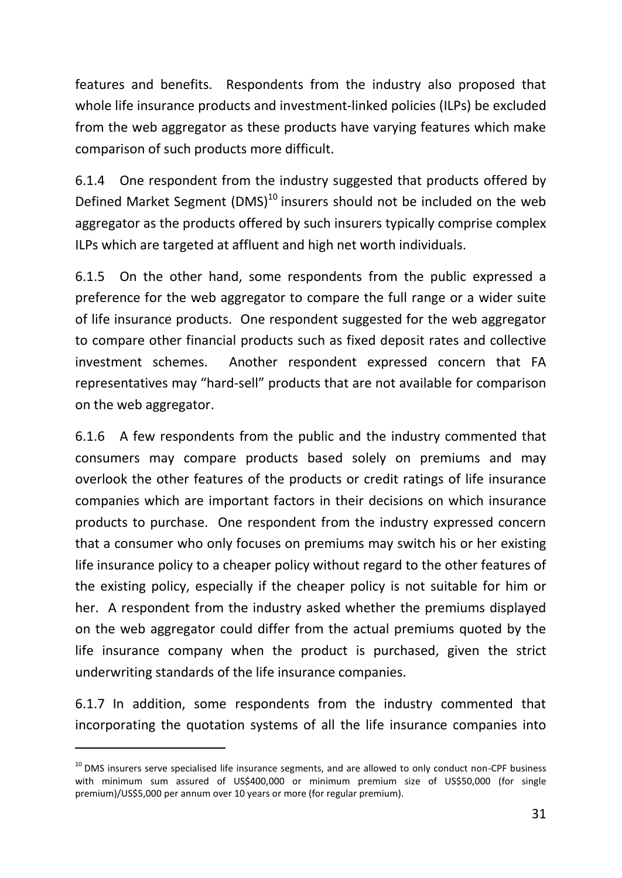features and benefits. Respondents from the industry also proposed that whole life insurance products and investment-linked policies (ILPs) be excluded from the web aggregator as these products have varying features which make comparison of such products more difficult.

6.1.4 One respondent from the industry suggested that products offered by Defined Market Segment  $(DMS)^{10}$  insurers should not be included on the web aggregator as the products offered by such insurers typically comprise complex ILPs which are targeted at affluent and high net worth individuals.

6.1.5 On the other hand, some respondents from the public expressed a preference for the web aggregator to compare the full range or a wider suite of life insurance products. One respondent suggested for the web aggregator to compare other financial products such as fixed deposit rates and collective investment schemes. Another respondent expressed concern that FA representatives may "hard-sell" products that are not available for comparison on the web aggregator.

6.1.6 A few respondents from the public and the industry commented that consumers may compare products based solely on premiums and may overlook the other features of the products or credit ratings of life insurance companies which are important factors in their decisions on which insurance products to purchase. One respondent from the industry expressed concern that a consumer who only focuses on premiums may switch his or her existing life insurance policy to a cheaper policy without regard to the other features of the existing policy, especially if the cheaper policy is not suitable for him or her. A respondent from the industry asked whether the premiums displayed on the web aggregator could differ from the actual premiums quoted by the life insurance company when the product is purchased, given the strict underwriting standards of the life insurance companies.

6.1.7 In addition, some respondents from the industry commented that incorporating the quotation systems of all the life insurance companies into

-

<sup>&</sup>lt;sup>10</sup> DMS insurers serve specialised life insurance segments, and are allowed to only conduct non-CPF business with minimum sum assured of US\$400,000 or minimum premium size of US\$50,000 (for single premium)/US\$5,000 per annum over 10 years or more (for regular premium).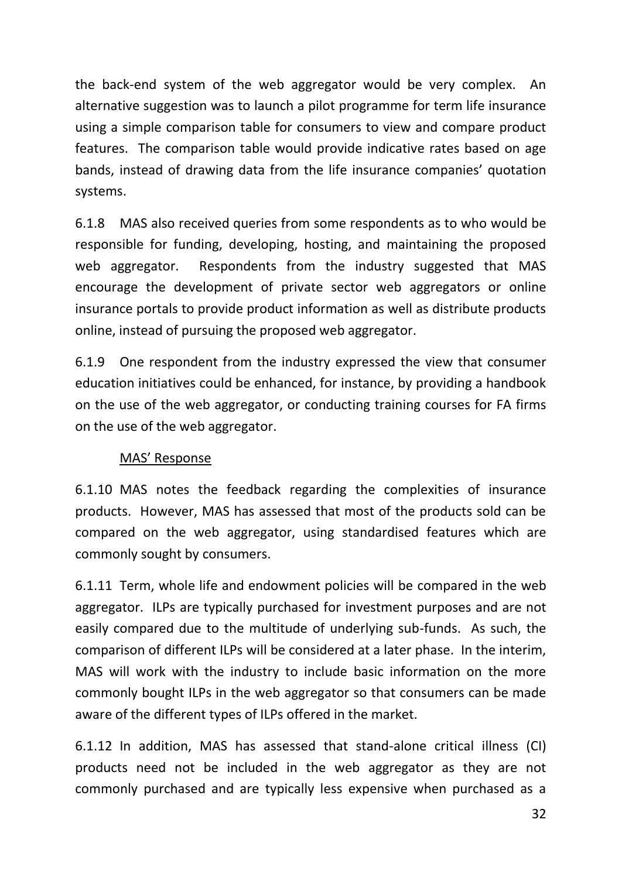the back-end system of the web aggregator would be very complex. An alternative suggestion was to launch a pilot programme for term life insurance using a simple comparison table for consumers to view and compare product features. The comparison table would provide indicative rates based on age bands, instead of drawing data from the life insurance companies' quotation systems.

6.1.8 MAS also received queries from some respondents as to who would be responsible for funding, developing, hosting, and maintaining the proposed web aggregator. Respondents from the industry suggested that MAS encourage the development of private sector web aggregators or online insurance portals to provide product information as well as distribute products online, instead of pursuing the proposed web aggregator.

6.1.9 One respondent from the industry expressed the view that consumer education initiatives could be enhanced, for instance, by providing a handbook on the use of the web aggregator, or conducting training courses for FA firms on the use of the web aggregator.

## MAS' Response

6.1.10 MAS notes the feedback regarding the complexities of insurance products. However, MAS has assessed that most of the products sold can be compared on the web aggregator, using standardised features which are commonly sought by consumers.

6.1.11 Term, whole life and endowment policies will be compared in the web aggregator. ILPs are typically purchased for investment purposes and are not easily compared due to the multitude of underlying sub-funds. As such, the comparison of different ILPs will be considered at a later phase. In the interim, MAS will work with the industry to include basic information on the more commonly bought ILPs in the web aggregator so that consumers can be made aware of the different types of ILPs offered in the market.

6.1.12 In addition, MAS has assessed that stand-alone critical illness (CI) products need not be included in the web aggregator as they are not commonly purchased and are typically less expensive when purchased as a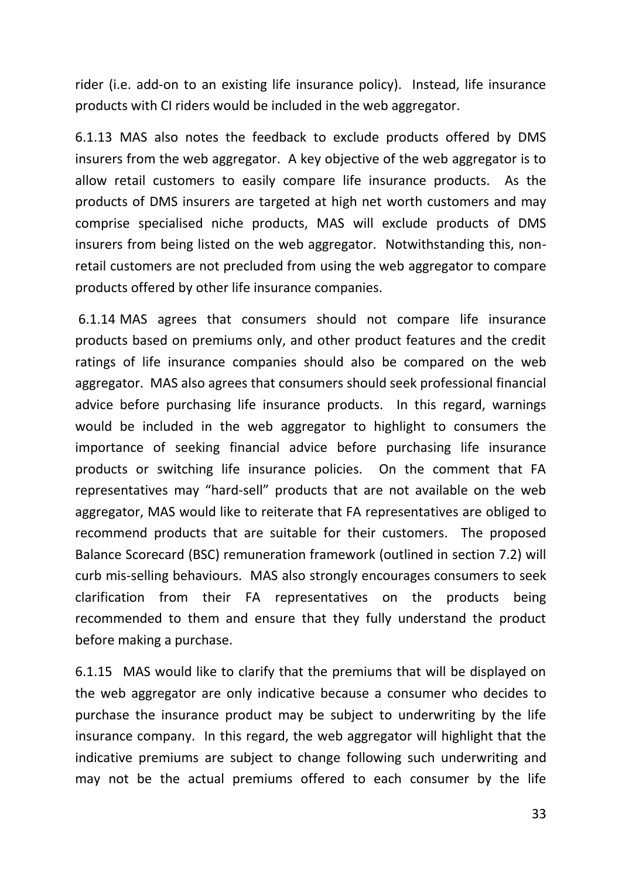rider (i.e. add-on to an existing life insurance policy). Instead, life insurance products with CI riders would be included in the web aggregator.

6.1.13 MAS also notes the feedback to exclude products offered by DMS insurers from the web aggregator. A key objective of the web aggregator is to allow retail customers to easily compare life insurance products. As the products of DMS insurers are targeted at high net worth customers and may comprise specialised niche products, MAS will exclude products of DMS insurers from being listed on the web aggregator. Notwithstanding this, nonretail customers are not precluded from using the web aggregator to compare products offered by other life insurance companies.

6.1.14 MAS agrees that consumers should not compare life insurance products based on premiums only, and other product features and the credit ratings of life insurance companies should also be compared on the web aggregator. MAS also agrees that consumers should seek professional financial advice before purchasing life insurance products. In this regard, warnings would be included in the web aggregator to highlight to consumers the importance of seeking financial advice before purchasing life insurance products or switching life insurance policies. On the comment that FA representatives may "hard-sell" products that are not available on the web aggregator, MAS would like to reiterate that FA representatives are obliged to recommend products that are suitable for their customers. The proposed Balance Scorecard (BSC) remuneration framework (outlined in section 7.2) will curb mis-selling behaviours. MAS also strongly encourages consumers to seek clarification from their FA representatives on the products being recommended to them and ensure that they fully understand the product before making a purchase.

6.1.15 MAS would like to clarify that the premiums that will be displayed on the web aggregator are only indicative because a consumer who decides to purchase the insurance product may be subject to underwriting by the life insurance company. In this regard, the web aggregator will highlight that the indicative premiums are subject to change following such underwriting and may not be the actual premiums offered to each consumer by the life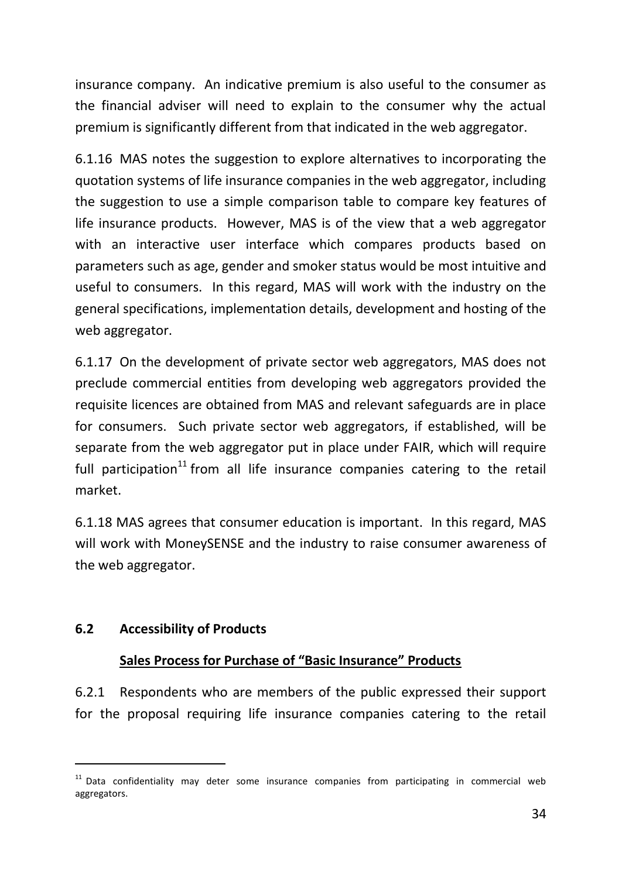insurance company. An indicative premium is also useful to the consumer as the financial adviser will need to explain to the consumer why the actual premium is significantly different from that indicated in the web aggregator.

6.1.16 MAS notes the suggestion to explore alternatives to incorporating the quotation systems of life insurance companies in the web aggregator, including the suggestion to use a simple comparison table to compare key features of life insurance products. However, MAS is of the view that a web aggregator with an interactive user interface which compares products based on parameters such as age, gender and smoker status would be most intuitive and useful to consumers. In this regard, MAS will work with the industry on the general specifications, implementation details, development and hosting of the web aggregator.

6.1.17 On the development of private sector web aggregators, MAS does not preclude commercial entities from developing web aggregators provided the requisite licences are obtained from MAS and relevant safeguards are in place for consumers. Such private sector web aggregators, if established, will be separate from the web aggregator put in place under FAIR, which will require full participation $11$  from all life insurance companies catering to the retail market.

6.1.18 MAS agrees that consumer education is important. In this regard, MAS will work with MoneySENSE and the industry to raise consumer awareness of the web aggregator.

### **6.2 Accessibility of Products**

-

#### **Sales Process for Purchase of "Basic Insurance" Products**

6.2.1 Respondents who are members of the public expressed their support for the proposal requiring life insurance companies catering to the retail

 $11$  Data confidentiality may deter some insurance companies from participating in commercial web aggregators.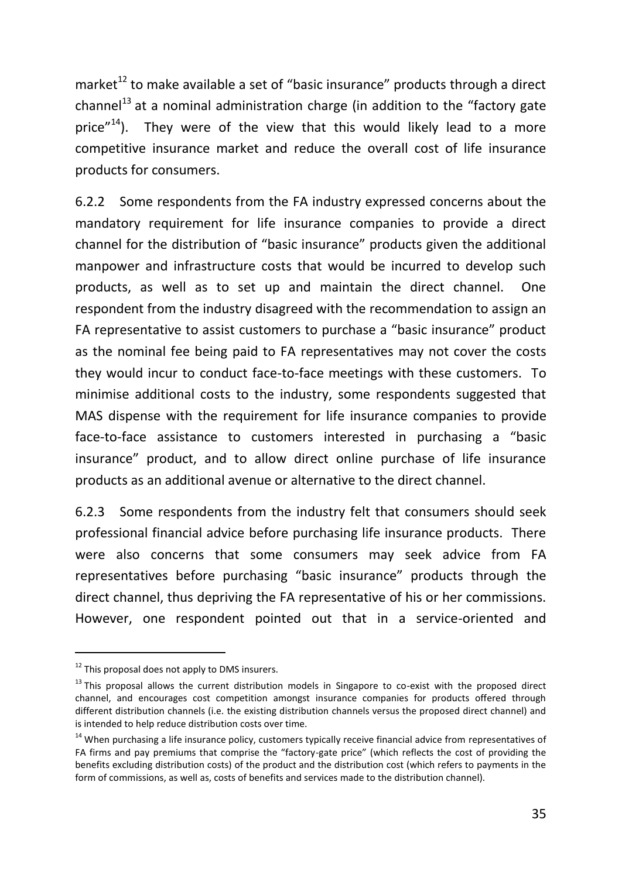market $12$  to make available a set of "basic insurance" products through a direct channel<sup>13</sup> at a nominal administration charge (in addition to the "factory gate price"<sup>14</sup>). They were of the view that this would likely lead to a more competitive insurance market and reduce the overall cost of life insurance products for consumers.

6.2.2 Some respondents from the FA industry expressed concerns about the mandatory requirement for life insurance companies to provide a direct channel for the distribution of "basic insurance" products given the additional manpower and infrastructure costs that would be incurred to develop such products, as well as to set up and maintain the direct channel. One respondent from the industry disagreed with the recommendation to assign an FA representative to assist customers to purchase a "basic insurance" product as the nominal fee being paid to FA representatives may not cover the costs they would incur to conduct face-to-face meetings with these customers. To minimise additional costs to the industry, some respondents suggested that MAS dispense with the requirement for life insurance companies to provide face-to-face assistance to customers interested in purchasing a "basic insurance" product, and to allow direct online purchase of life insurance products as an additional avenue or alternative to the direct channel.

6.2.3 Some respondents from the industry felt that consumers should seek professional financial advice before purchasing life insurance products. There were also concerns that some consumers may seek advice from FA representatives before purchasing "basic insurance" products through the direct channel, thus depriving the FA representative of his or her commissions. However, one respondent pointed out that in a service-oriented and

-

 $12$  This proposal does not apply to DMS insurers.

 $13$  This proposal allows the current distribution models in Singapore to co-exist with the proposed direct channel, and encourages cost competition amongst insurance companies for products offered through different distribution channels (i.e. the existing distribution channels versus the proposed direct channel) and is intended to help reduce distribution costs over time.

 $14$  When purchasing a life insurance policy, customers typically receive financial advice from representatives of FA firms and pay premiums that comprise the "factory-gate price" (which reflects the cost of providing the benefits excluding distribution costs) of the product and the distribution cost (which refers to payments in the form of commissions, as well as, costs of benefits and services made to the distribution channel).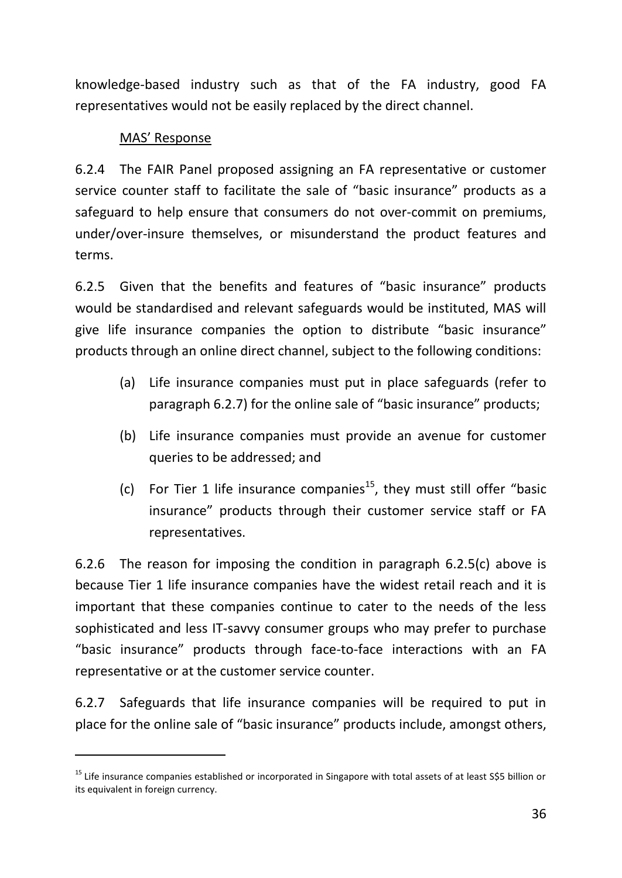knowledge-based industry such as that of the FA industry, good FA representatives would not be easily replaced by the direct channel.

## MAS' Response

-

6.2.4 The FAIR Panel proposed assigning an FA representative or customer service counter staff to facilitate the sale of "basic insurance" products as a safeguard to help ensure that consumers do not over-commit on premiums, under/over-insure themselves, or misunderstand the product features and terms.

6.2.5 Given that the benefits and features of "basic insurance" products would be standardised and relevant safeguards would be instituted, MAS will give life insurance companies the option to distribute "basic insurance" products through an online direct channel, subject to the following conditions:

- (a) Life insurance companies must put in place safeguards (refer to paragraph 6.2.7) for the online sale of "basic insurance" products;
- (b) Life insurance companies must provide an avenue for customer queries to be addressed; and
- (c) For Tier 1 life insurance companies<sup>15</sup>, they must still offer "basic insurance" products through their customer service staff or FA representatives.

6.2.6 The reason for imposing the condition in paragraph 6.2.5(c) above is because Tier 1 life insurance companies have the widest retail reach and it is important that these companies continue to cater to the needs of the less sophisticated and less IT-savvy consumer groups who may prefer to purchase "basic insurance" products through face-to-face interactions with an FA representative or at the customer service counter.

6.2.7 Safeguards that life insurance companies will be required to put in place for the online sale of "basic insurance" products include, amongst others,

<sup>&</sup>lt;sup>15</sup> Life insurance companies established or incorporated in Singapore with total assets of at least S\$5 billion or its equivalent in foreign currency.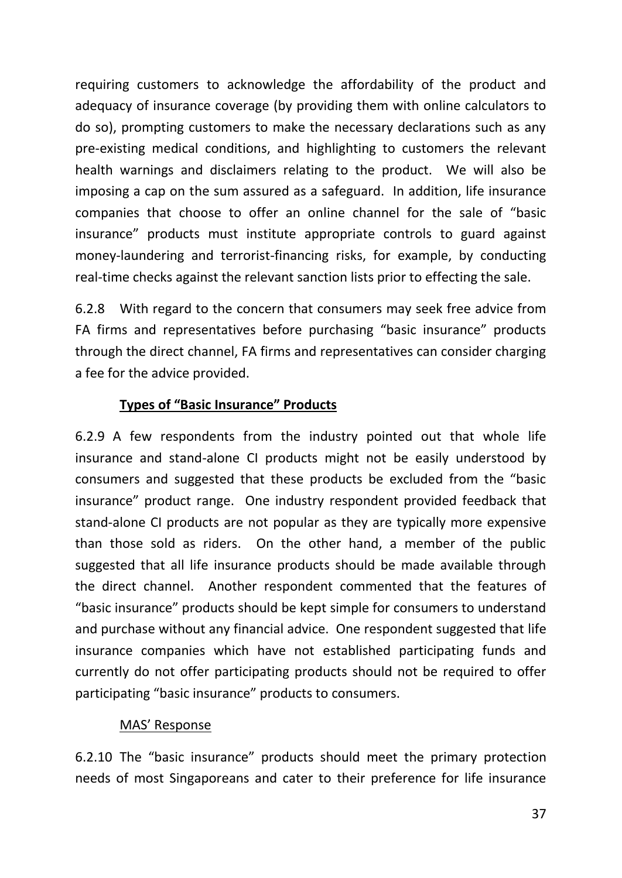requiring customers to acknowledge the affordability of the product and adequacy of insurance coverage (by providing them with online calculators to do so), prompting customers to make the necessary declarations such as any pre-existing medical conditions, and highlighting to customers the relevant health warnings and disclaimers relating to the product. We will also be imposing a cap on the sum assured as a safeguard. In addition, life insurance companies that choose to offer an online channel for the sale of "basic insurance" products must institute appropriate controls to guard against money-laundering and terrorist-financing risks, for example, by conducting real-time checks against the relevant sanction lists prior to effecting the sale.

6.2.8 With regard to the concern that consumers may seek free advice from FA firms and representatives before purchasing "basic insurance" products through the direct channel, FA firms and representatives can consider charging a fee for the advice provided.

## **Types of "Basic Insurance" Products**

6.2.9 A few respondents from the industry pointed out that whole life insurance and stand-alone CI products might not be easily understood by consumers and suggested that these products be excluded from the "basic insurance" product range. One industry respondent provided feedback that stand-alone CI products are not popular as they are typically more expensive than those sold as riders. On the other hand, a member of the public suggested that all life insurance products should be made available through the direct channel. Another respondent commented that the features of "basic insurance" products should be kept simple for consumers to understand and purchase without any financial advice. One respondent suggested that life insurance companies which have not established participating funds and currently do not offer participating products should not be required to offer participating "basic insurance" products to consumers.

### MAS' Response

6.2.10 The "basic insurance" products should meet the primary protection needs of most Singaporeans and cater to their preference for life insurance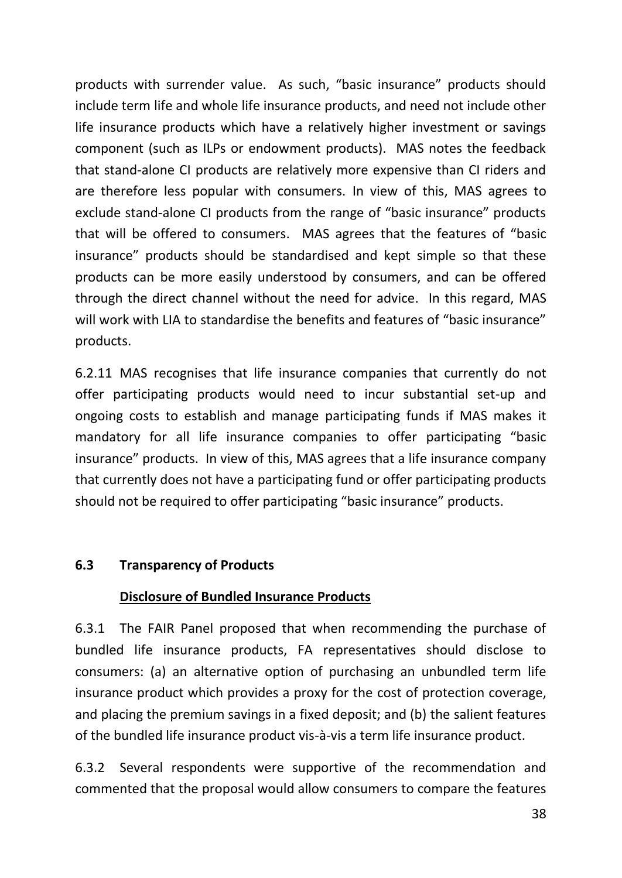products with surrender value. As such, "basic insurance" products should include term life and whole life insurance products, and need not include other life insurance products which have a relatively higher investment or savings component (such as ILPs or endowment products). MAS notes the feedback that stand-alone CI products are relatively more expensive than CI riders and are therefore less popular with consumers. In view of this, MAS agrees to exclude stand-alone CI products from the range of "basic insurance" products that will be offered to consumers. MAS agrees that the features of "basic insurance" products should be standardised and kept simple so that these products can be more easily understood by consumers, and can be offered through the direct channel without the need for advice. In this regard, MAS will work with LIA to standardise the benefits and features of "basic insurance" products.

6.2.11 MAS recognises that life insurance companies that currently do not offer participating products would need to incur substantial set-up and ongoing costs to establish and manage participating funds if MAS makes it mandatory for all life insurance companies to offer participating "basic insurance" products. In view of this, MAS agrees that a life insurance company that currently does not have a participating fund or offer participating products should not be required to offer participating "basic insurance" products.

### **6.3 Transparency of Products**

### **Disclosure of Bundled Insurance Products**

6.3.1 The FAIR Panel proposed that when recommending the purchase of bundled life insurance products, FA representatives should disclose to consumers: (a) an alternative option of purchasing an unbundled term life insurance product which provides a proxy for the cost of protection coverage, and placing the premium savings in a fixed deposit; and (b) the salient features of the bundled life insurance product vis-à-vis a term life insurance product.

6.3.2 Several respondents were supportive of the recommendation and commented that the proposal would allow consumers to compare the features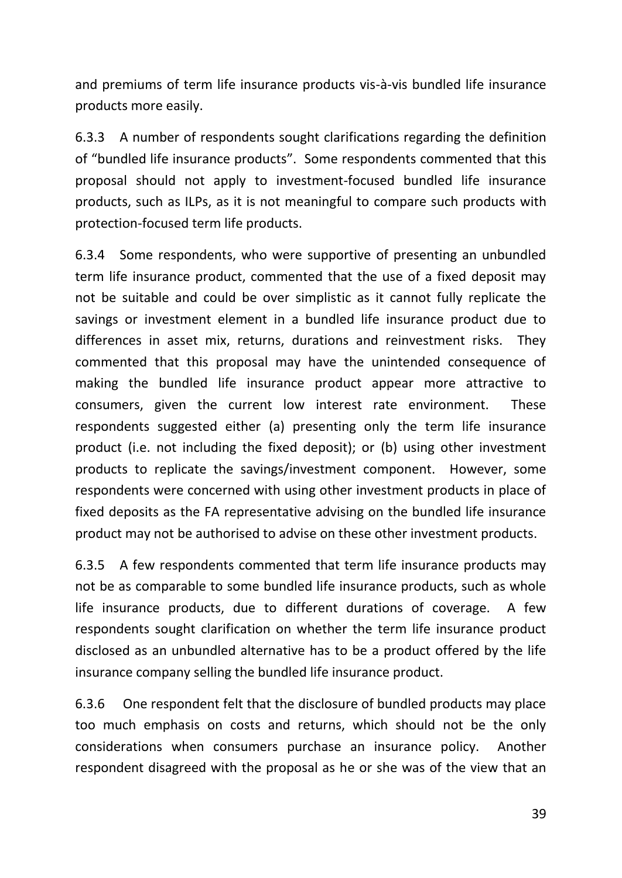and premiums of term life insurance products vis-à-vis bundled life insurance products more easily.

6.3.3 A number of respondents sought clarifications regarding the definition of "bundled life insurance products". Some respondents commented that this proposal should not apply to investment-focused bundled life insurance products, such as ILPs, as it is not meaningful to compare such products with protection-focused term life products.

6.3.4 Some respondents, who were supportive of presenting an unbundled term life insurance product, commented that the use of a fixed deposit may not be suitable and could be over simplistic as it cannot fully replicate the savings or investment element in a bundled life insurance product due to differences in asset mix, returns, durations and reinvestment risks. They commented that this proposal may have the unintended consequence of making the bundled life insurance product appear more attractive to consumers, given the current low interest rate environment. These respondents suggested either (a) presenting only the term life insurance product (i.e. not including the fixed deposit); or (b) using other investment products to replicate the savings/investment component. However, some respondents were concerned with using other investment products in place of fixed deposits as the FA representative advising on the bundled life insurance product may not be authorised to advise on these other investment products.

6.3.5 A few respondents commented that term life insurance products may not be as comparable to some bundled life insurance products, such as whole life insurance products, due to different durations of coverage. A few respondents sought clarification on whether the term life insurance product disclosed as an unbundled alternative has to be a product offered by the life insurance company selling the bundled life insurance product.

6.3.6 One respondent felt that the disclosure of bundled products may place too much emphasis on costs and returns, which should not be the only considerations when consumers purchase an insurance policy. Another respondent disagreed with the proposal as he or she was of the view that an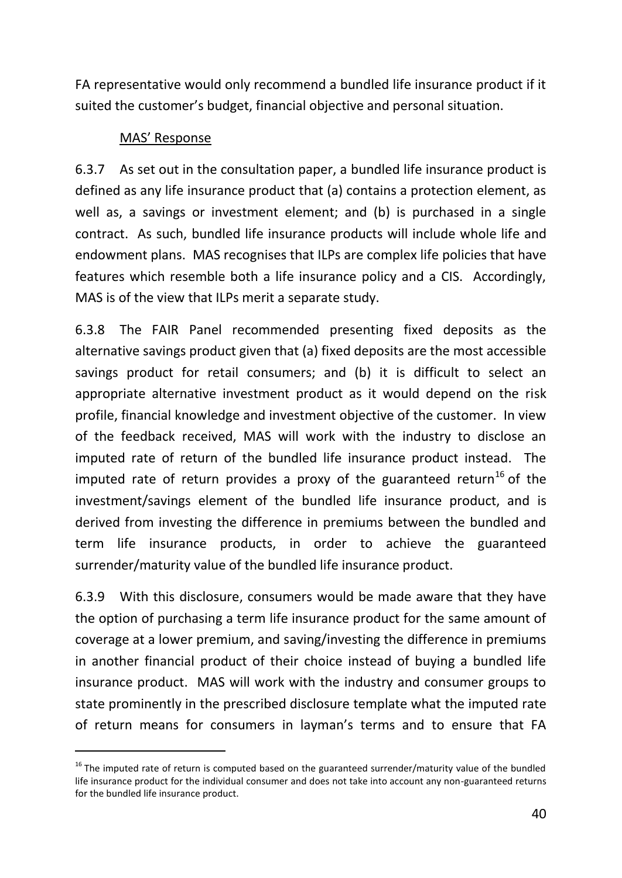FA representative would only recommend a bundled life insurance product if it suited the customer's budget, financial objective and personal situation.

## MAS' Response

-

6.3.7 As set out in the consultation paper, a bundled life insurance product is defined as any life insurance product that (a) contains a protection element, as well as, a savings or investment element; and (b) is purchased in a single contract. As such, bundled life insurance products will include whole life and endowment plans. MAS recognises that ILPs are complex life policies that have features which resemble both a life insurance policy and a CIS. Accordingly, MAS is of the view that ILPs merit a separate study.

6.3.8 The FAIR Panel recommended presenting fixed deposits as the alternative savings product given that (a) fixed deposits are the most accessible savings product for retail consumers; and (b) it is difficult to select an appropriate alternative investment product as it would depend on the risk profile, financial knowledge and investment objective of the customer. In view of the feedback received, MAS will work with the industry to disclose an imputed rate of return of the bundled life insurance product instead. The imputed rate of return provides a proxy of the guaranteed return<sup>16</sup> of the investment/savings element of the bundled life insurance product, and is derived from investing the difference in premiums between the bundled and term life insurance products, in order to achieve the guaranteed surrender/maturity value of the bundled life insurance product.

6.3.9 With this disclosure, consumers would be made aware that they have the option of purchasing a term life insurance product for the same amount of coverage at a lower premium, and saving/investing the difference in premiums in another financial product of their choice instead of buying a bundled life insurance product. MAS will work with the industry and consumer groups to state prominently in the prescribed disclosure template what the imputed rate of return means for consumers in layman's terms and to ensure that FA

 $16$  The imputed rate of return is computed based on the guaranteed surrender/maturity value of the bundled life insurance product for the individual consumer and does not take into account any non-guaranteed returns for the bundled life insurance product.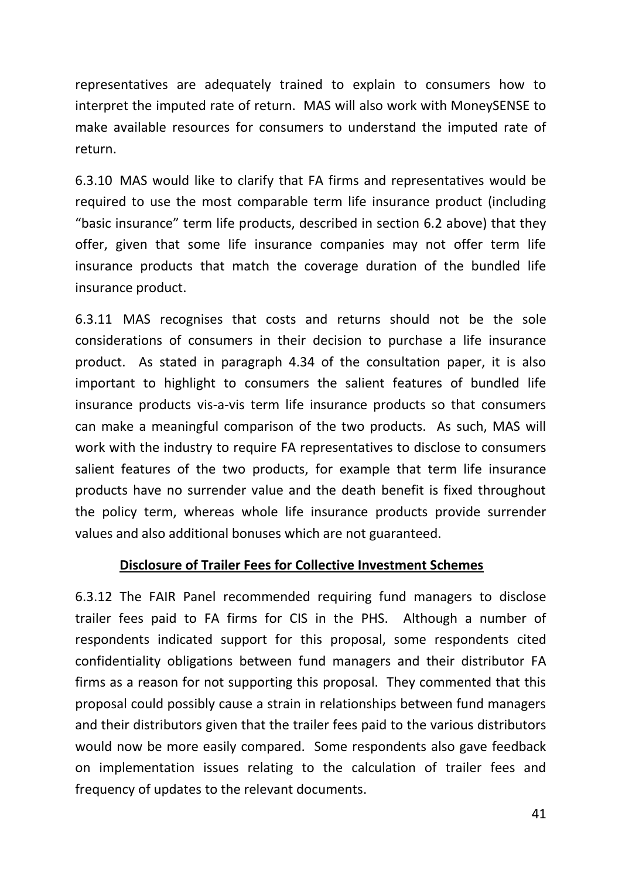representatives are adequately trained to explain to consumers how to interpret the imputed rate of return. MAS will also work with MoneySENSE to make available resources for consumers to understand the imputed rate of return.

6.3.10 MAS would like to clarify that FA firms and representatives would be required to use the most comparable term life insurance product (including "basic insurance" term life products, described in section 6.2 above) that they offer, given that some life insurance companies may not offer term life insurance products that match the coverage duration of the bundled life insurance product.

6.3.11 MAS recognises that costs and returns should not be the sole considerations of consumers in their decision to purchase a life insurance product. As stated in paragraph 4.34 of the consultation paper, it is also important to highlight to consumers the salient features of bundled life insurance products vis‐a‐vis term life insurance products so that consumers can make a meaningful comparison of the two products. As such, MAS will work with the industry to require FA representatives to disclose to consumers salient features of the two products, for example that term life insurance products have no surrender value and the death benefit is fixed throughout the policy term, whereas whole life insurance products provide surrender values and also additional bonuses which are not guaranteed.

### **Disclosure of Trailer Fees for Collective Investment Schemes**

6.3.12 The FAIR Panel recommended requiring fund managers to disclose trailer fees paid to FA firms for CIS in the PHS. Although a number of respondents indicated support for this proposal, some respondents cited confidentiality obligations between fund managers and their distributor FA firms as a reason for not supporting this proposal. They commented that this proposal could possibly cause a strain in relationships between fund managers and their distributors given that the trailer fees paid to the various distributors would now be more easily compared. Some respondents also gave feedback on implementation issues relating to the calculation of trailer fees and frequency of updates to the relevant documents.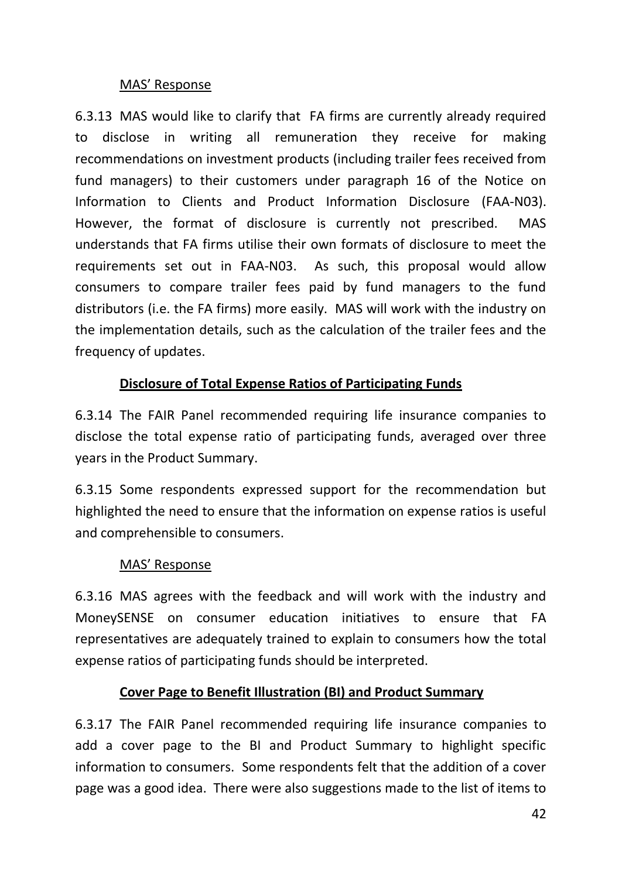## MAS' Response

6.3.13 MAS would like to clarify that FA firms are currently already required to disclose in writing all remuneration they receive for making recommendations on investment products (including trailer fees received from fund managers) to their customers under paragraph 16 of the Notice on [Information to Clients and Product Information Disclosure](http://www.mas.gov.sg/~/media/MAS/Regulations%20and%20Financial%20Stability/Regulations%20Guidance%20and%20Licensing/Financial%20Advisers/Notices/FAAN03%20%20Product%20Information%20and%20Disclosure%2020%20Feb%2013.pdf) (FAA-N03). However, the format of disclosure is currently not prescribed. MAS understands that FA firms utilise their own formats of disclosure to meet the requirements set out in FAA-N03. As such, this proposal would allow consumers to compare trailer fees paid by fund managers to the fund distributors (i.e. the FA firms) more easily. MAS will work with the industry on the implementation details, such as the calculation of the trailer fees and the frequency of updates.

# **Disclosure of Total Expense Ratios of Participating Funds**

6.3.14 The FAIR Panel recommended requiring life insurance companies to disclose the total expense ratio of participating funds, averaged over three years in the Product Summary.

6.3.15 Some respondents expressed support for the recommendation but highlighted the need to ensure that the information on expense ratios is useful and comprehensible to consumers.

## MAS' Response

6.3.16 MAS agrees with the feedback and will work with the industry and MoneySENSE on consumer education initiatives to ensure that FA representatives are adequately trained to explain to consumers how the total expense ratios of participating funds should be interpreted.

## **Cover Page to Benefit Illustration (BI) and Product Summary**

6.3.17 The FAIR Panel recommended requiring life insurance companies to add a cover page to the BI and Product Summary to highlight specific information to consumers. Some respondents felt that the addition of a cover page was a good idea. There were also suggestions made to the list of items to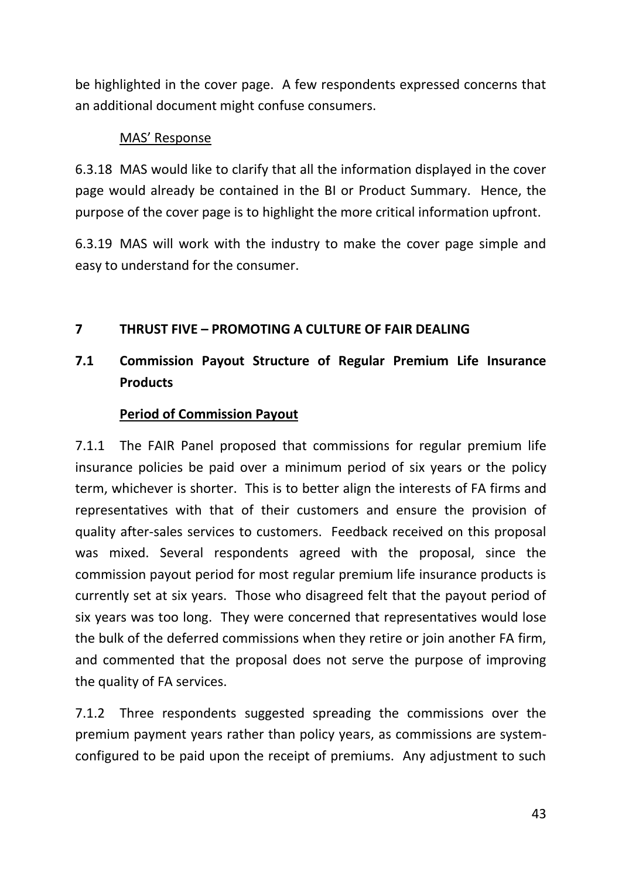be highlighted in the cover page. A few respondents expressed concerns that an additional document might confuse consumers.

## MAS' Response

6.3.18 MAS would like to clarify that all the information displayed in the cover page would already be contained in the BI or Product Summary. Hence, the purpose of the cover page is to highlight the more critical information upfront.

6.3.19 MAS will work with the industry to make the cover page simple and easy to understand for the consumer.

# **7 THRUST FIVE – PROMOTING A CULTURE OF FAIR DEALING**

# **7.1 Commission Payout Structure of Regular Premium Life Insurance Products**

## **Period of Commission Payout**

7.1.1 The FAIR Panel proposed that commissions for regular premium life insurance policies be paid over a minimum period of six years or the policy term, whichever is shorter. This is to better align the interests of FA firms and representatives with that of their customers and ensure the provision of quality after-sales services to customers. Feedback received on this proposal was mixed. Several respondents agreed with the proposal, since the commission payout period for most regular premium life insurance products is currently set at six years. Those who disagreed felt that the payout period of six years was too long. They were concerned that representatives would lose the bulk of the deferred commissions when they retire or join another FA firm, and commented that the proposal does not serve the purpose of improving the quality of FA services.

7.1.2 Three respondents suggested spreading the commissions over the premium payment years rather than policy years, as commissions are systemconfigured to be paid upon the receipt of premiums. Any adjustment to such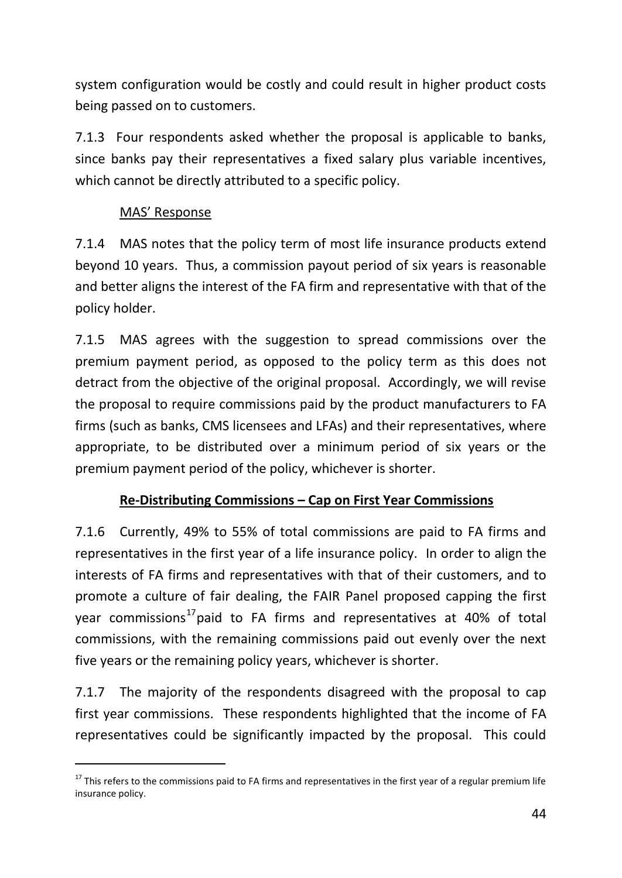system configuration would be costly and could result in higher product costs being passed on to customers.

7.1.3 Four respondents asked whether the proposal is applicable to banks, since banks pay their representatives a fixed salary plus variable incentives, which cannot be directly attributed to a specific policy.

## MAS' Response

-

7.1.4 MAS notes that the policy term of most life insurance products extend beyond 10 years. Thus, a commission payout period of six years is reasonable and better aligns the interest of the FA firm and representative with that of the policy holder.

7.1.5 MAS agrees with the suggestion to spread commissions over the premium payment period, as opposed to the policy term as this does not detract from the objective of the original proposal. Accordingly, we will revise the proposal to require commissions paid by the product manufacturers to FA firms (such as banks, CMS licensees and LFAs) and their representatives, where appropriate, to be distributed over a minimum period of six years or the premium payment period of the policy, whichever is shorter.

# **Re-Distributing Commissions – Cap on First Year Commissions**

7.1.6 Currently, 49% to 55% of total commissions are paid to FA firms and representatives in the first year of a life insurance policy. In order to align the interests of FA firms and representatives with that of their customers, and to promote a culture of fair dealing, the FAIR Panel proposed capping the first year commissions<sup>17</sup> paid to FA firms and representatives at 40% of total commissions, with the remaining commissions paid out evenly over the next five years or the remaining policy years, whichever is shorter.

7.1.7 The majority of the respondents disagreed with the proposal to cap first year commissions. These respondents highlighted that the income of FA representatives could be significantly impacted by the proposal. This could

 $17$  This refers to the commissions paid to FA firms and representatives in the first year of a regular premium life insurance policy.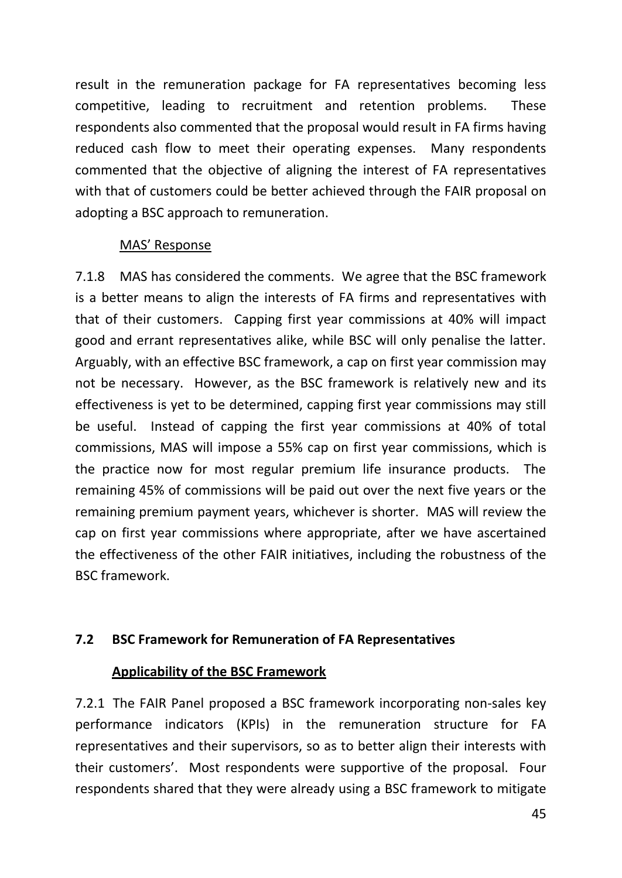result in the remuneration package for FA representatives becoming less competitive, leading to recruitment and retention problems. These respondents also commented that the proposal would result in FA firms having reduced cash flow to meet their operating expenses. Many respondents commented that the objective of aligning the interest of FA representatives with that of customers could be better achieved through the FAIR proposal on adopting a BSC approach to remuneration.

## MAS' Response

7.1.8 MAS has considered the comments. We agree that the BSC framework is a better means to align the interests of FA firms and representatives with that of their customers. Capping first year commissions at 40% will impact good and errant representatives alike, while BSC will only penalise the latter. Arguably, with an effective BSC framework, a cap on first year commission may not be necessary. However, as the BSC framework is relatively new and its effectiveness is yet to be determined, capping first year commissions may still be useful. Instead of capping the first year commissions at 40% of total commissions, MAS will impose a 55% cap on first year commissions, which is the practice now for most regular premium life insurance products. The remaining 45% of commissions will be paid out over the next five years or the remaining premium payment years, whichever is shorter. MAS will review the cap on first year commissions where appropriate, after we have ascertained the effectiveness of the other FAIR initiatives, including the robustness of the BSC framework.

## **7.2 BSC Framework for Remuneration of FA Representatives**

### **Applicability of the BSC Framework**

7.2.1 The FAIR Panel proposed a BSC framework incorporating non‐sales key performance indicators (KPIs) in the remuneration structure for FA representatives and their supervisors, so as to better align their interests with their customers'. Most respondents were supportive of the proposal. Four respondents shared that they were already using a BSC framework to mitigate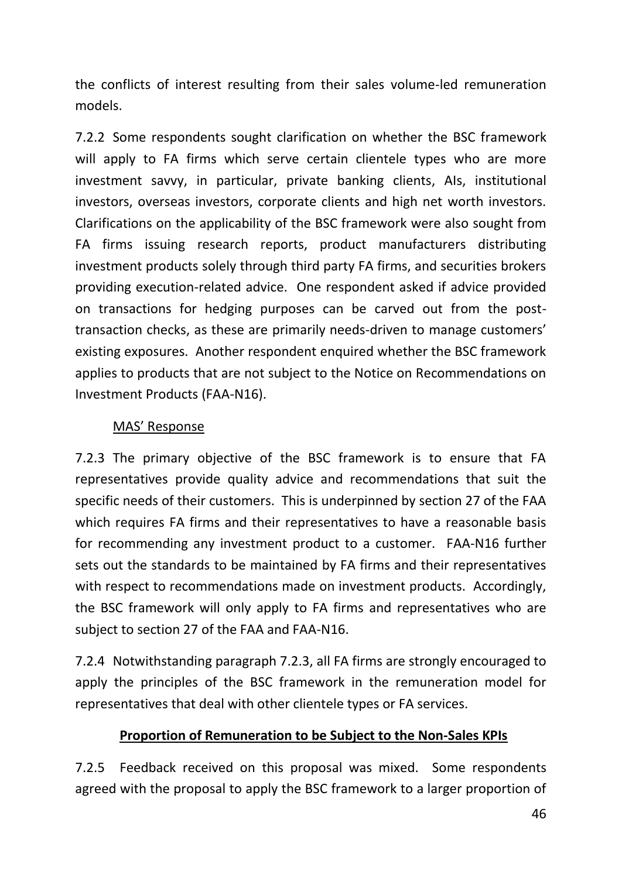the conflicts of interest resulting from their sales volume-led remuneration models.

7.2.2 Some respondents sought clarification on whether the BSC framework will apply to FA firms which serve certain clientele types who are more investment savvy, in particular, private banking clients, AIs, institutional investors, overseas investors, corporate clients and high net worth investors. Clarifications on the applicability of the BSC framework were also sought from FA firms issuing research reports, product manufacturers distributing investment products solely through third party FA firms, and securities brokers providing execution-related advice. One respondent asked if advice provided on transactions for hedging purposes can be carved out from the posttransaction checks, as these are primarily needs-driven to manage customers' existing exposures. Another respondent enquired whether the BSC framework applies to products that are not subject to the Notice on Recommendations on Investment Products (FAA-N16).

## MAS' Response

7.2.3 The primary objective of the BSC framework is to ensure that FA representatives provide quality advice and recommendations that suit the specific needs of their customers. This is underpinned by section 27 of the FAA which requires FA firms and their representatives to have a reasonable basis for recommending any investment product to a customer. FAA-N16 further sets out the standards to be maintained by FA firms and their representatives with respect to recommendations made on investment products. Accordingly, the BSC framework will only apply to FA firms and representatives who are subject to section 27 of the FAA and FAA-N16.

7.2.4 Notwithstanding paragraph 7.2.3, all FA firms are strongly encouraged to apply the principles of the BSC framework in the remuneration model for representatives that deal with other clientele types or FA services.

## **Proportion of Remuneration to be Subject to the Non-Sales KPIs**

7.2.5 Feedback received on this proposal was mixed. Some respondents agreed with the proposal to apply the BSC framework to a larger proportion of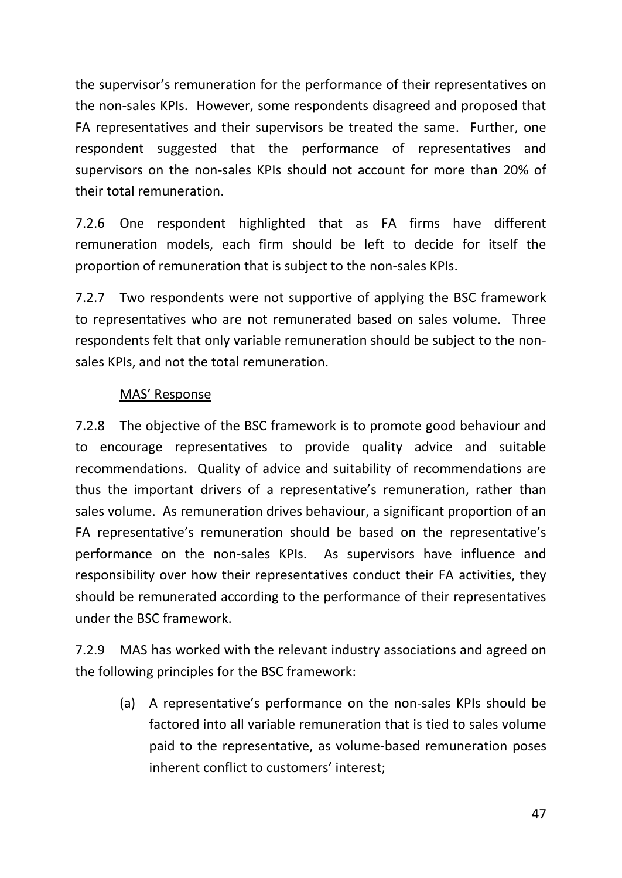the supervisor's remuneration for the performance of their representatives on the non-sales KPIs. However, some respondents disagreed and proposed that FA representatives and their supervisors be treated the same. Further, one respondent suggested that the performance of representatives and supervisors on the non-sales KPIs should not account for more than 20% of their total remuneration.

7.2.6 One respondent highlighted that as FA firms have different remuneration models, each firm should be left to decide for itself the proportion of remuneration that is subject to the non-sales KPIs.

7.2.7 Two respondents were not supportive of applying the BSC framework to representatives who are not remunerated based on sales volume. Three respondents felt that only variable remuneration should be subject to the nonsales KPIs, and not the total remuneration.

## MAS' Response

7.2.8 The objective of the BSC framework is to promote good behaviour and to encourage representatives to provide quality advice and suitable recommendations. Quality of advice and suitability of recommendations are thus the important drivers of a representative's remuneration, rather than sales volume. As remuneration drives behaviour, a significant proportion of an FA representative's remuneration should be based on the representative's performance on the non-sales KPIs. As supervisors have influence and responsibility over how their representatives conduct their FA activities, they should be remunerated according to the performance of their representatives under the BSC framework.

7.2.9 MAS has worked with the relevant industry associations and agreed on the following principles for the BSC framework:

(a) A representative's performance on the non-sales KPIs should be factored into all variable remuneration that is tied to sales volume paid to the representative, as volume-based remuneration poses inherent conflict to customers' interest;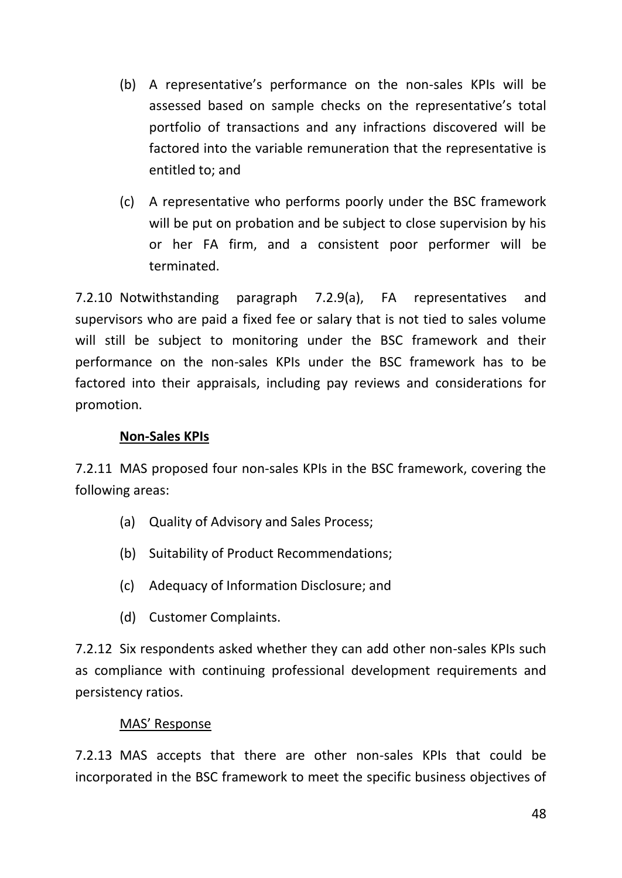- (b) A representative's performance on the non-sales KPIs will be assessed based on sample checks on the representative's total portfolio of transactions and any infractions discovered will be factored into the variable remuneration that the representative is entitled to; and
- (c) A representative who performs poorly under the BSC framework will be put on probation and be subject to close supervision by his or her FA firm, and a consistent poor performer will be terminated.

7.2.10 Notwithstanding paragraph 7.2.9(a), FA representatives and supervisors who are paid a fixed fee or salary that is not tied to sales volume will still be subject to monitoring under the BSC framework and their performance on the non-sales KPIs under the BSC framework has to be factored into their appraisals, including pay reviews and considerations for promotion.

## **Non-Sales KPIs**

7.2.11 MAS proposed four non‐sales KPIs in the BSC framework, covering the following areas:

- (a) Quality of Advisory and Sales Process;
- (b) Suitability of Product Recommendations;
- (c) Adequacy of Information Disclosure; and
- (d) Customer Complaints.

7.2.12 Six respondents asked whether they can add other non-sales KPIs such as compliance with continuing professional development requirements and persistency ratios.

### MAS' Response

7.2.13 MAS accepts that there are other non-sales KPIs that could be incorporated in the BSC framework to meet the specific business objectives of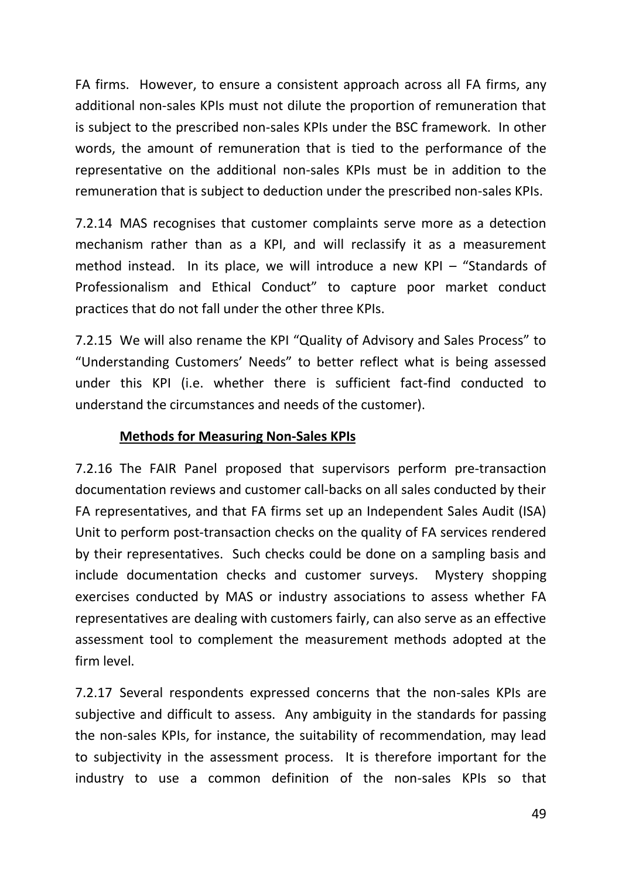FA firms. However, to ensure a consistent approach across all FA firms, any additional non-sales KPIs must not dilute the proportion of remuneration that is subject to the prescribed non-sales KPIs under the BSC framework. In other words, the amount of remuneration that is tied to the performance of the representative on the additional non-sales KPIs must be in addition to the remuneration that is subject to deduction under the prescribed non-sales KPIs.

7.2.14 MAS recognises that customer complaints serve more as a detection mechanism rather than as a KPI, and will reclassify it as a measurement method instead. In its place, we will introduce a new KPI – "Standards of Professionalism and Ethical Conduct" to capture poor market conduct practices that do not fall under the other three KPIs.

7.2.15 We will also rename the KPI "Quality of Advisory and Sales Process" to "Understanding Customers' Needs" to better reflect what is being assessed under this KPI (i.e. whether there is sufficient fact-find conducted to understand the circumstances and needs of the customer).

## **Methods for Measuring Non-Sales KPIs**

7.2.16 The FAIR Panel proposed that supervisors perform pre‐transaction documentation reviews and customer call‐backs on all sales conducted by their FA representatives, and that FA firms set up an Independent Sales Audit (ISA) Unit to perform post‐transaction checks on the quality of FA services rendered by their representatives. Such checks could be done on a sampling basis and include documentation checks and customer surveys. Mystery shopping exercises conducted by MAS or industry associations to assess whether FA representatives are dealing with customers fairly, can also serve as an effective assessment tool to complement the measurement methods adopted at the firm level.

7.2.17 Several respondents expressed concerns that the non-sales KPIs are subjective and difficult to assess. Any ambiguity in the standards for passing the non-sales KPIs, for instance, the suitability of recommendation, may lead to subjectivity in the assessment process. It is therefore important for the industry to use a common definition of the non-sales KPIs so that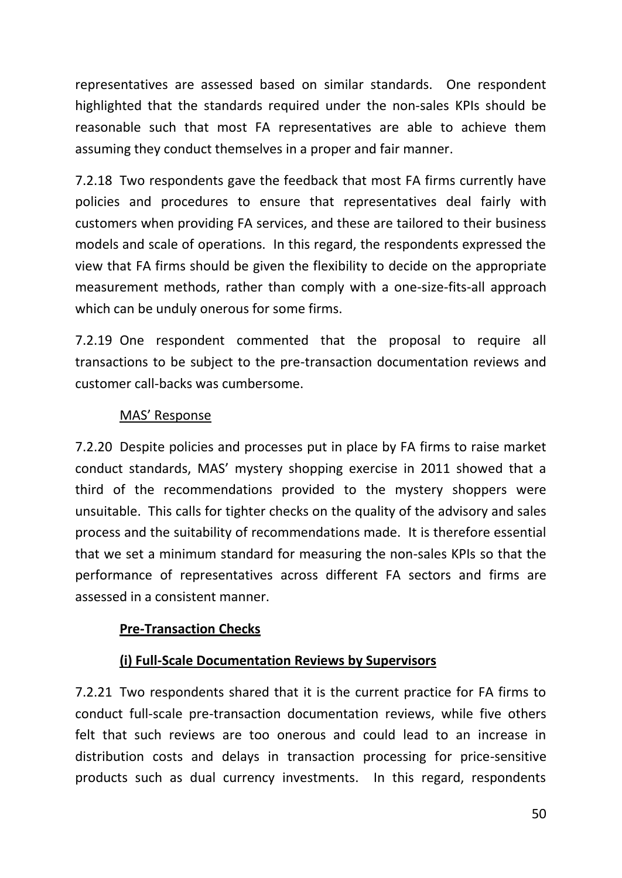representatives are assessed based on similar standards. One respondent highlighted that the standards required under the non-sales KPIs should be reasonable such that most FA representatives are able to achieve them assuming they conduct themselves in a proper and fair manner.

7.2.18 Two respondents gave the feedback that most FA firms currently have policies and procedures to ensure that representatives deal fairly with customers when providing FA services, and these are tailored to their business models and scale of operations. In this regard, the respondents expressed the view that FA firms should be given the flexibility to decide on the appropriate measurement methods, rather than comply with a one-size-fits-all approach which can be unduly onerous for some firms.

7.2.19 One respondent commented that the proposal to require all transactions to be subject to the pre-transaction documentation reviews and customer call-backs was cumbersome.

## MAS' Response

7.2.20 Despite policies and processes put in place by FA firms to raise market conduct standards, MAS' mystery shopping exercise in 2011 showed that a third of the recommendations provided to the mystery shoppers were unsuitable. This calls for tighter checks on the quality of the advisory and sales process and the suitability of recommendations made. It is therefore essential that we set a minimum standard for measuring the non-sales KPIs so that the performance of representatives across different FA sectors and firms are assessed in a consistent manner.

### **Pre-Transaction Checks**

### **(i) Full-Scale Documentation Reviews by Supervisors**

7.2.21 Two respondents shared that it is the current practice for FA firms to conduct full-scale pre-transaction documentation reviews, while five others felt that such reviews are too onerous and could lead to an increase in distribution costs and delays in transaction processing for price-sensitive products such as dual currency investments. In this regard, respondents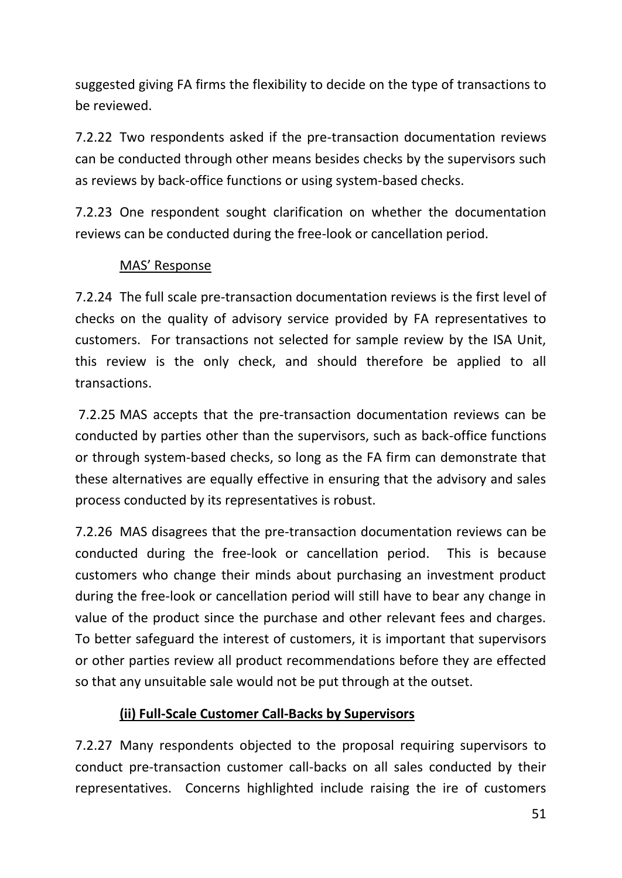suggested giving FA firms the flexibility to decide on the type of transactions to be reviewed.

7.2.22 Two respondents asked if the pre-transaction documentation reviews can be conducted through other means besides checks by the supervisors such as reviews by back-office functions or using system-based checks.

7.2.23 One respondent sought clarification on whether the documentation reviews can be conducted during the free-look or cancellation period.

## MAS' Response

7.2.24 The full scale pre-transaction documentation reviews is the first level of checks on the quality of advisory service provided by FA representatives to customers. For transactions not selected for sample review by the ISA Unit, this review is the only check, and should therefore be applied to all transactions.

7.2.25 MAS accepts that the pre-transaction documentation reviews can be conducted by parties other than the supervisors, such as back-office functions or through system-based checks, so long as the FA firm can demonstrate that these alternatives are equally effective in ensuring that the advisory and sales process conducted by its representatives is robust.

7.2.26 MAS disagrees that the pre-transaction documentation reviews can be conducted during the free-look or cancellation period. This is because customers who change their minds about purchasing an investment product during the free-look or cancellation period will still have to bear any change in value of the product since the purchase and other relevant fees and charges. To better safeguard the interest of customers, it is important that supervisors or other parties review all product recommendations before they are effected so that any unsuitable sale would not be put through at the outset.

## **(ii) Full-Scale Customer Call‐Backs by Supervisors**

7.2.27 Many respondents objected to the proposal requiring supervisors to conduct pre-transaction customer call-backs on all sales conducted by their representatives. Concerns highlighted include raising the ire of customers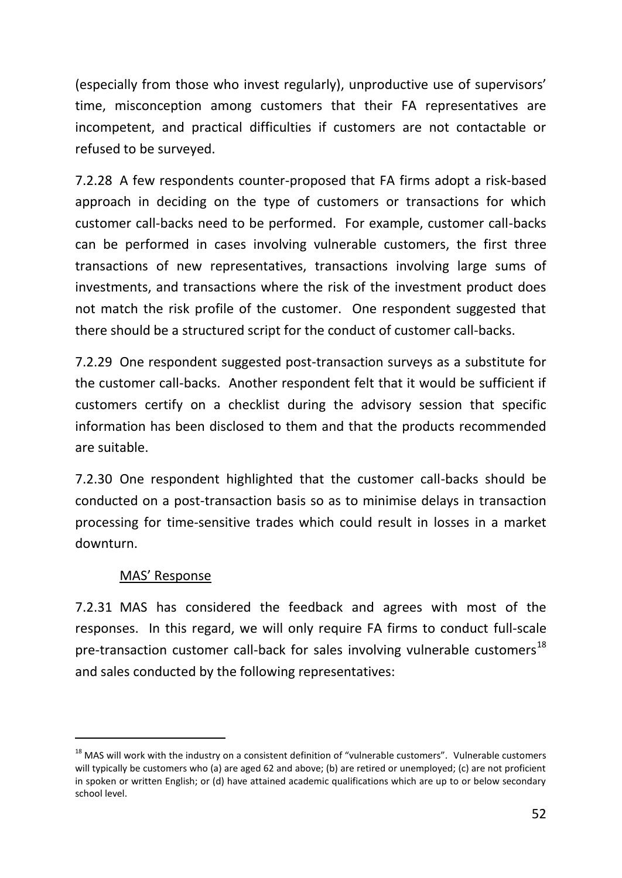(especially from those who invest regularly), unproductive use of supervisors' time, misconception among customers that their FA representatives are incompetent, and practical difficulties if customers are not contactable or refused to be surveyed.

7.2.28 A few respondents counter-proposed that FA firms adopt a risk-based approach in deciding on the type of customers or transactions for which customer call-backs need to be performed. For example, customer call-backs can be performed in cases involving vulnerable customers, the first three transactions of new representatives, transactions involving large sums of investments, and transactions where the risk of the investment product does not match the risk profile of the customer. One respondent suggested that there should be a structured script for the conduct of customer call-backs.

7.2.29 One respondent suggested post-transaction surveys as a substitute for the customer call-backs. Another respondent felt that it would be sufficient if customers certify on a checklist during the advisory session that specific information has been disclosed to them and that the products recommended are suitable.

7.2.30 One respondent highlighted that the customer call-backs should be conducted on a post-transaction basis so as to minimise delays in transaction processing for time-sensitive trades which could result in losses in a market downturn.

## MAS' Response

-

7.2.31 MAS has considered the feedback and agrees with most of the responses. In this regard, we will only require FA firms to conduct full-scale pre-transaction customer call-back for sales involving vulnerable customers<sup>18</sup> and sales conducted by the following representatives:

<sup>&</sup>lt;sup>18</sup> MAS will work with the industry on a consistent definition of "vulnerable customers". Vulnerable customers will typically be customers who (a) are aged 62 and above; (b) are retired or unemployed; (c) are not proficient in spoken or written English; or (d) have attained academic qualifications which are up to or below secondary school level.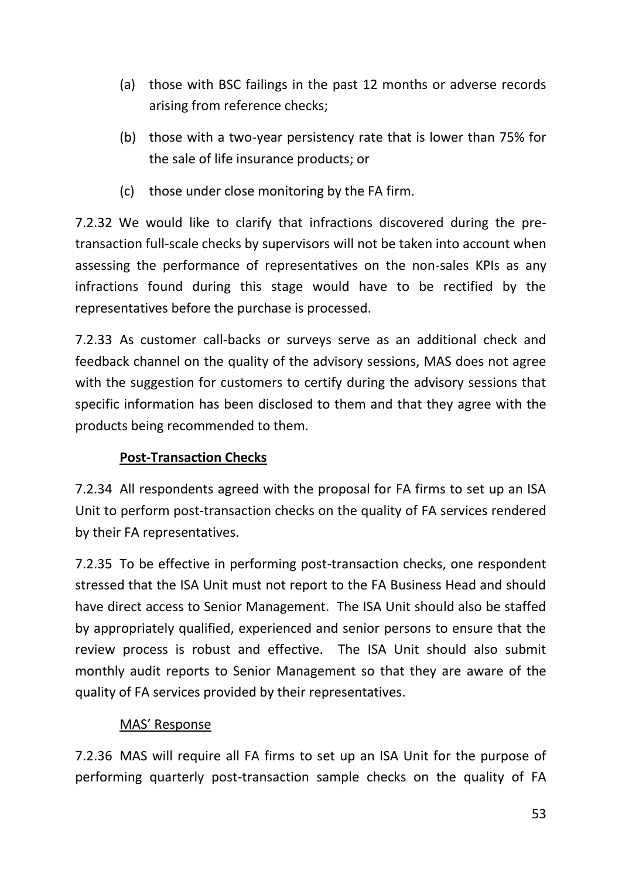- (a) those with BSC failings in the past 12 months or adverse records arising from reference checks;
- (b) those with a two-year persistency rate that is lower than 75% for the sale of life insurance products; or
- (c) those under close monitoring by the FA firm.

7.2.32 We would like to clarify that infractions discovered during the pretransaction full-scale checks by supervisors will not be taken into account when assessing the performance of representatives on the non-sales KPIs as any infractions found during this stage would have to be rectified by the representatives before the purchase is processed.

7.2.33 As customer call-backs or surveys serve as an additional check and feedback channel on the quality of the advisory sessions, MAS does not agree with the suggestion for customers to certify during the advisory sessions that specific information has been disclosed to them and that they agree with the products being recommended to them.

# **Post-Transaction Checks**

7.2.34 All respondents agreed with the proposal for FA firms to set up an ISA Unit to perform post-transaction checks on the quality of FA services rendered by their FA representatives.

7.2.35 To be effective in performing post-transaction checks, one respondent stressed that the ISA Unit must not report to the FA Business Head and should have direct access to Senior Management. The ISA Unit should also be staffed by appropriately qualified, experienced and senior persons to ensure that the review process is robust and effective. The ISA Unit should also submit monthly audit reports to Senior Management so that they are aware of the quality of FA services provided by their representatives.

# MAS' Response

7.2.36 MAS will require all FA firms to set up an ISA Unit for the purpose of performing quarterly post-transaction sample checks on the quality of FA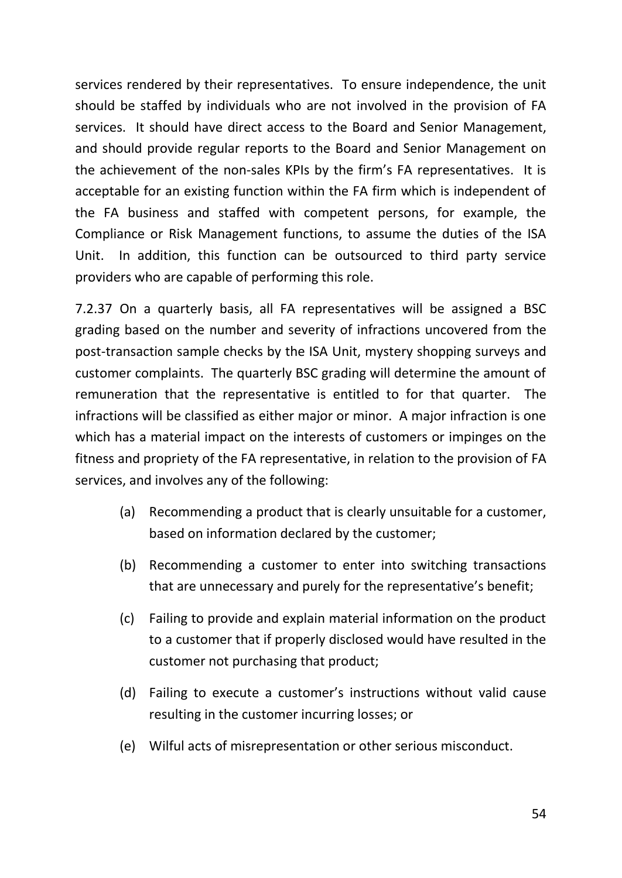services rendered by their representatives. To ensure independence, the unit should be staffed by individuals who are not involved in the provision of FA services. It should have direct access to the Board and Senior Management, and should provide regular reports to the Board and Senior Management on the achievement of the non‐sales KPIs by the firm's FA representatives. It is acceptable for an existing function within the FA firm which is independent of the FA business and staffed with competent persons, for example, the Compliance or Risk Management functions, to assume the duties of the ISA Unit. In addition, this function can be outsourced to third party service providers who are capable of performing this role.

7.2.37 On a quarterly basis, all FA representatives will be assigned a BSC grading based on the number and severity of infractions uncovered from the post-transaction sample checks by the ISA Unit, mystery shopping surveys and customer complaints. The quarterly BSC grading will determine the amount of remuneration that the representative is entitled to for that quarter. The infractions will be classified as either major or minor. A major infraction is one which has a material impact on the interests of customers or impinges on the fitness and propriety of the FA representative, in relation to the provision of FA services, and involves any of the following:

- (a) Recommending a product that is clearly unsuitable for a customer, based on information declared by the customer;
- (b) Recommending a customer to enter into switching transactions that are unnecessary and purely for the representative's benefit;
- (c) Failing to provide and explain material information on the product to a customer that if properly disclosed would have resulted in the customer not purchasing that product;
- (d) Failing to execute a customer's instructions without valid cause resulting in the customer incurring losses; or
- (e) Wilful acts of misrepresentation or other serious misconduct.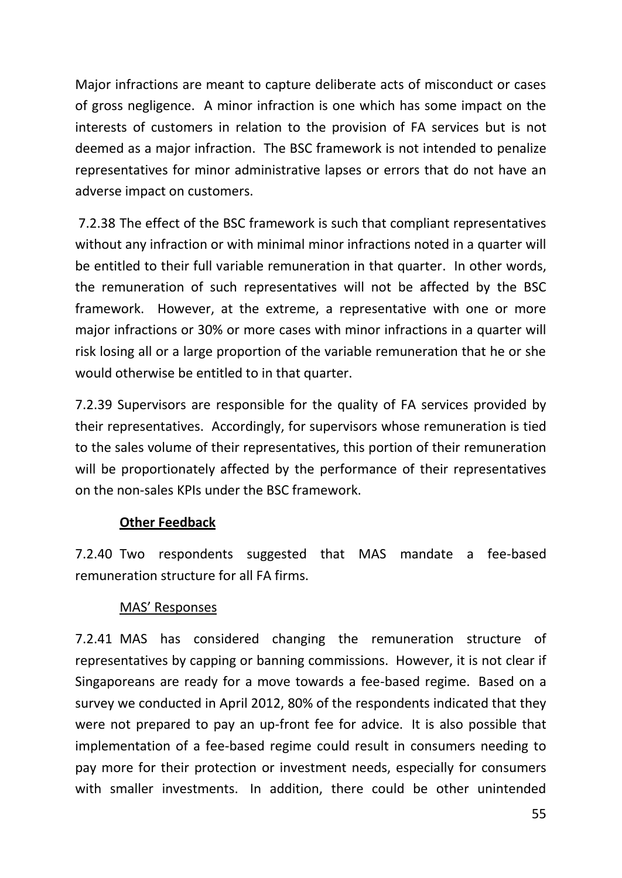Major infractions are meant to capture deliberate acts of misconduct or cases of gross negligence. A minor infraction is one which has some impact on the interests of customers in relation to the provision of FA services but is not deemed as a major infraction. The BSC framework is not intended to penalize representatives for minor administrative lapses or errors that do not have an adverse impact on customers.

7.2.38 The effect of the BSC framework is such that compliant representatives without any infraction or with minimal minor infractions noted in a quarter will be entitled to their full variable remuneration in that quarter. In other words, the remuneration of such representatives will not be affected by the BSC framework. However, at the extreme, a representative with one or more major infractions or 30% or more cases with minor infractions in a quarter will risk losing all or a large proportion of the variable remuneration that he or she would otherwise be entitled to in that quarter.

7.2.39 Supervisors are responsible for the quality of FA services provided by their representatives. Accordingly, for supervisors whose remuneration is tied to the sales volume of their representatives, this portion of their remuneration will be proportionately affected by the performance of their representatives on the non-sales KPIs under the BSC framework.

### **Other Feedback**

7.2.40 Two respondents suggested that MAS mandate a fee-based remuneration structure for all FA firms.

### MAS' Responses

7.2.41 MAS has considered changing the remuneration structure of representatives by capping or banning commissions. However, it is not clear if Singaporeans are ready for a move towards a fee-based regime. Based on a survey we conducted in April 2012, 80% of the respondents indicated that they were not prepared to pay an up-front fee for advice. It is also possible that implementation of a fee-based regime could result in consumers needing to pay more for their protection or investment needs, especially for consumers with smaller investments. In addition, there could be other unintended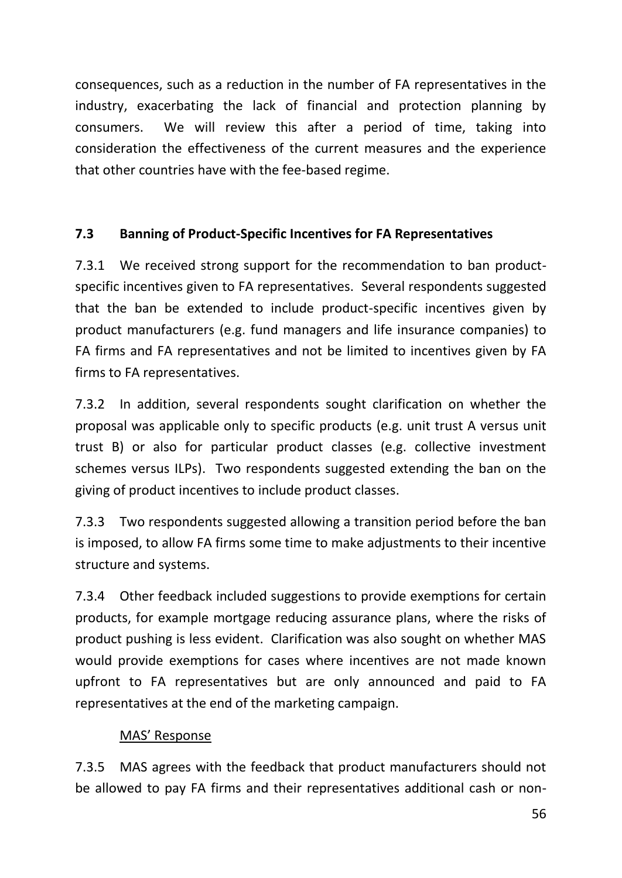consequences, such as a reduction in the number of FA representatives in the industry, exacerbating the lack of financial and protection planning by consumers. We will review this after a period of time, taking into consideration the effectiveness of the current measures and the experience that other countries have with the fee-based regime.

## **7.3 Banning of Product-Specific Incentives for FA Representatives**

7.3.1 We received strong support for the recommendation to ban productspecific incentives given to FA representatives. Several respondents suggested that the ban be extended to include product-specific incentives given by product manufacturers (e.g. fund managers and life insurance companies) to FA firms and FA representatives and not be limited to incentives given by FA firms to FA representatives.

7.3.2 In addition, several respondents sought clarification on whether the proposal was applicable only to specific products (e.g. unit trust A versus unit trust B) or also for particular product classes (e.g. collective investment schemes versus ILPs). Two respondents suggested extending the ban on the giving of product incentives to include product classes.

7.3.3 Two respondents suggested allowing a transition period before the ban is imposed, to allow FA firms some time to make adjustments to their incentive structure and systems.

7.3.4 Other feedback included suggestions to provide exemptions for certain products, for example mortgage reducing assurance plans, where the risks of product pushing is less evident. Clarification was also sought on whether MAS would provide exemptions for cases where incentives are not made known upfront to FA representatives but are only announced and paid to FA representatives at the end of the marketing campaign.

## MAS' Response

7.3.5 MAS agrees with the feedback that product manufacturers should not be allowed to pay FA firms and their representatives additional cash or non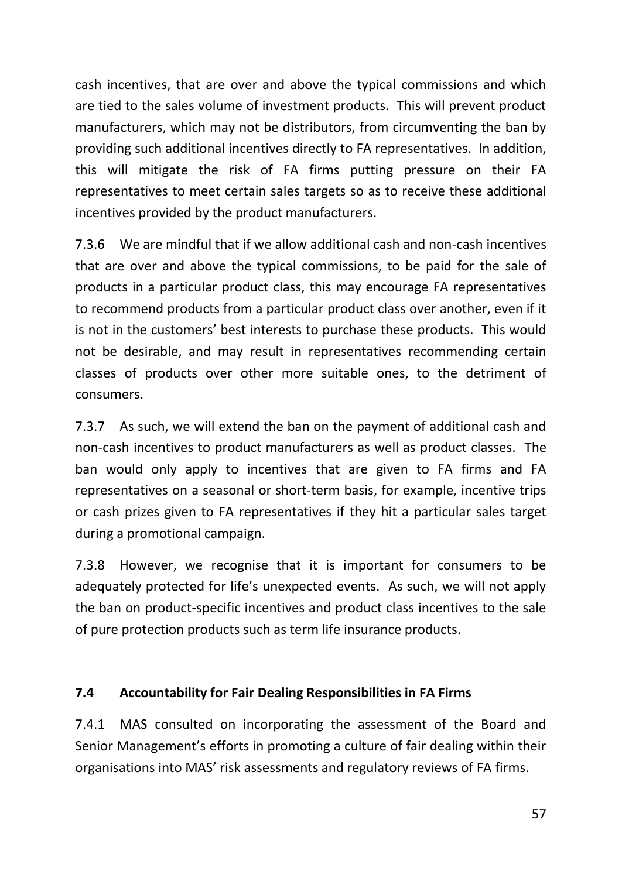cash incentives, that are over and above the typical commissions and which are tied to the sales volume of investment products. This will prevent product manufacturers, which may not be distributors, from circumventing the ban by providing such additional incentives directly to FA representatives. In addition, this will mitigate the risk of FA firms putting pressure on their FA representatives to meet certain sales targets so as to receive these additional incentives provided by the product manufacturers.

7.3.6 We are mindful that if we allow additional cash and non-cash incentives that are over and above the typical commissions, to be paid for the sale of products in a particular product class, this may encourage FA representatives to recommend products from a particular product class over another, even if it is not in the customers' best interests to purchase these products. This would not be desirable, and may result in representatives recommending certain classes of products over other more suitable ones, to the detriment of consumers.

7.3.7 As such, we will extend the ban on the payment of additional cash and non-cash incentives to product manufacturers as well as product classes. The ban would only apply to incentives that are given to FA firms and FA representatives on a seasonal or short-term basis, for example, incentive trips or cash prizes given to FA representatives if they hit a particular sales target during a promotional campaign.

7.3.8 However, we recognise that it is important for consumers to be adequately protected for life's unexpected events. As such, we will not apply the ban on product-specific incentives and product class incentives to the sale of pure protection products such as term life insurance products.

## **7.4 Accountability for Fair Dealing Responsibilities in FA Firms**

7.4.1 MAS consulted on incorporating the assessment of the Board and Senior Management's efforts in promoting a culture of fair dealing within their organisations into MAS' risk assessments and regulatory reviews of FA firms.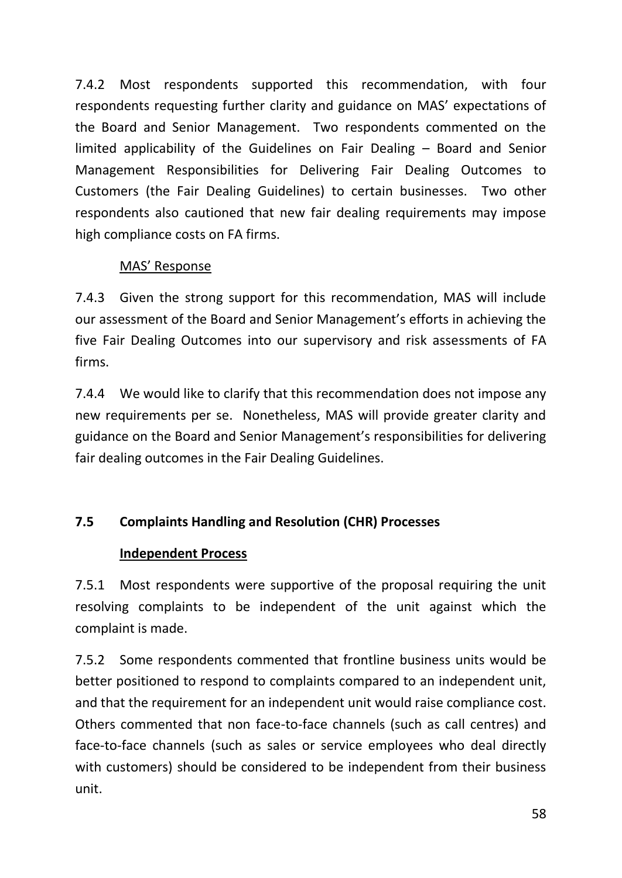7.4.2 Most respondents supported this recommendation, with four respondents requesting further clarity and guidance on MAS' expectations of the Board and Senior Management. Two respondents commented on the limited applicability of the Guidelines on Fair Dealing – Board and Senior Management Responsibilities for Delivering Fair Dealing Outcomes to Customers (the Fair Dealing Guidelines) to certain businesses. Two other respondents also cautioned that new fair dealing requirements may impose high compliance costs on FA firms.

# MAS' Response

7.4.3 Given the strong support for this recommendation, MAS will include our assessment of the Board and Senior Management's efforts in achieving the five Fair Dealing Outcomes into our supervisory and risk assessments of FA firms.

7.4.4 We would like to clarify that this recommendation does not impose any new requirements per se. Nonetheless, MAS will provide greater clarity and guidance on the Board and Senior Management's responsibilities for delivering fair dealing outcomes in the Fair Dealing Guidelines.

# **7.5 Complaints Handling and Resolution (CHR) Processes**

# **Independent Process**

7.5.1 Most respondents were supportive of the proposal requiring the unit resolving complaints to be independent of the unit against which the complaint is made.

7.5.2 Some respondents commented that frontline business units would be better positioned to respond to complaints compared to an independent unit, and that the requirement for an independent unit would raise compliance cost. Others commented that non face-to-face channels (such as call centres) and face-to-face channels (such as sales or service employees who deal directly with customers) should be considered to be independent from their business unit.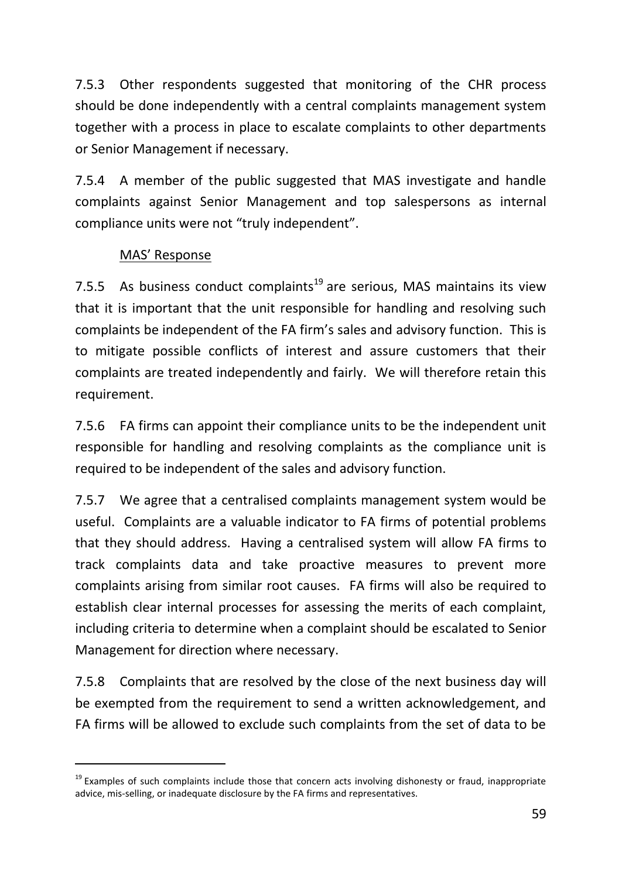7.5.3 Other respondents suggested that monitoring of the CHR process should be done independently with a central complaints management system together with a process in place to escalate complaints to other departments or Senior Management if necessary.

7.5.4 A member of the public suggested that MAS investigate and handle complaints against Senior Management and top salespersons as internal compliance units were not "truly independent".

## MAS' Response

-

7.5.5 As business conduct complaints<sup>19</sup> are serious, MAS maintains its view that it is important that the unit responsible for handling and resolving such complaints be independent of the FA firm's sales and advisory function. This is to mitigate possible conflicts of interest and assure customers that their complaints are treated independently and fairly. We will therefore retain this requirement.

7.5.6 FA firms can appoint their compliance units to be the independent unit responsible for handling and resolving complaints as the compliance unit is required to be independent of the sales and advisory function.

7.5.7 We agree that a centralised complaints management system would be useful. Complaints are a valuable indicator to FA firms of potential problems that they should address. Having a centralised system will allow FA firms to track complaints data and take proactive measures to prevent more complaints arising from similar root causes. FA firms will also be required to establish clear internal processes for assessing the merits of each complaint, including criteria to determine when a complaint should be escalated to Senior Management for direction where necessary.

7.5.8 Complaints that are resolved by the close of the next business day will be exempted from the requirement to send a written acknowledgement, and FA firms will be allowed to exclude such complaints from the set of data to be

 $19$  Examples of such complaints include those that concern acts involving dishonesty or fraud, inappropriate advice, mis‐selling, or inadequate disclosure by the FA firms and representatives.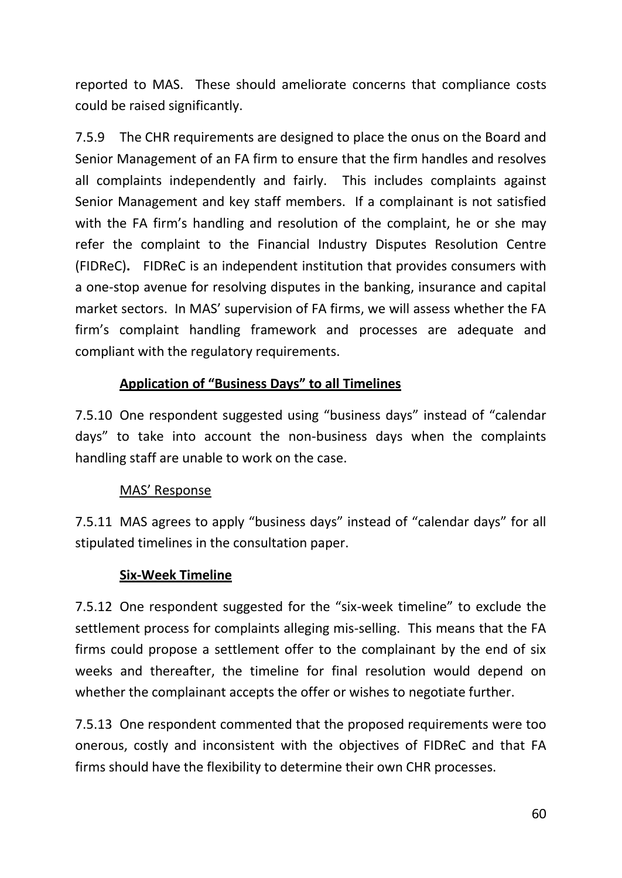reported to MAS. These should ameliorate concerns that compliance costs could be raised significantly.

7.5.9 The CHR requirements are designed to place the onus on the Board and Senior Management of an FA firm to ensure that the firm handles and resolves all complaints independently and fairly. This includes complaints against Senior Management and key staff members. If a complainant is not satisfied with the FA firm's handling and resolution of the complaint, he or she may refer the complaint to the Financial Industry Disputes Resolution Centre (FIDReC)**.** FIDReC is an independent institution that provides consumers with a one-stop avenue for resolving disputes in the banking, insurance and capital market sectors. In MAS' supervision of FA firms, we will assess whether the FA firm's complaint handling framework and processes are adequate and compliant with the regulatory requirements.

## **Application of "Business Days" to all Timelines**

7.5.10 One respondent suggested using "business days" instead of "calendar days" to take into account the non-business days when the complaints handling staff are unable to work on the case.

## MAS' Response

7.5.11 MAS agrees to apply "business days" instead of "calendar days" for all stipulated timelines in the consultation paper.

## **Six-Week Timeline**

7.5.12 One respondent suggested for the "six-week timeline" to exclude the settlement process for complaints alleging mis-selling. This means that the FA firms could propose a settlement offer to the complainant by the end of six weeks and thereafter, the timeline for final resolution would depend on whether the complainant accepts the offer or wishes to negotiate further.

7.5.13 One respondent commented that the proposed requirements were too onerous, costly and inconsistent with the objectives of FIDReC and that FA firms should have the flexibility to determine their own CHR processes.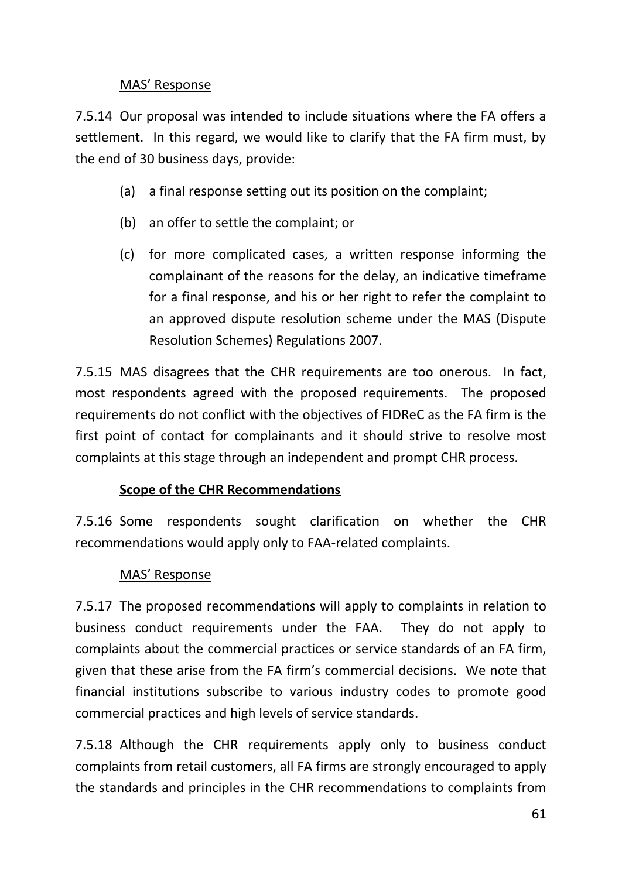## MAS' Response

7.5.14 Our proposal was intended to include situations where the FA offers a settlement. In this regard, we would like to clarify that the FA firm must, by the end of 30 business days, provide:

- (a) a final response setting out its position on the complaint;
- (b) an offer to settle the complaint; or
- (c) for more complicated cases, a written response informing the complainant of the reasons for the delay, an indicative timeframe for a final response, and his or her right to refer the complaint to an approved dispute resolution scheme under the MAS (Dispute Resolution Schemes) Regulations 2007.

7.5.15 MAS disagrees that the CHR requirements are too onerous. In fact, most respondents agreed with the proposed requirements. The proposed requirements do not conflict with the objectives of FIDReC as the FA firm is the first point of contact for complainants and it should strive to resolve most complaints at this stage through an independent and prompt CHR process.

# **Scope of the CHR Recommendations**

7.5.16 Some respondents sought clarification on whether the CHR recommendations would apply only to FAA-related complaints.

# MAS' Response

7.5.17 The proposed recommendations will apply to complaints in relation to business conduct requirements under the FAA. They do not apply to complaints about the commercial practices or service standards of an FA firm, given that these arise from the FA firm's commercial decisions. We note that financial institutions subscribe to various industry codes to promote good commercial practices and high levels of service standards.

7.5.18 Although the CHR requirements apply only to business conduct complaints from retail customers, all FA firms are strongly encouraged to apply the standards and principles in the CHR recommendations to complaints from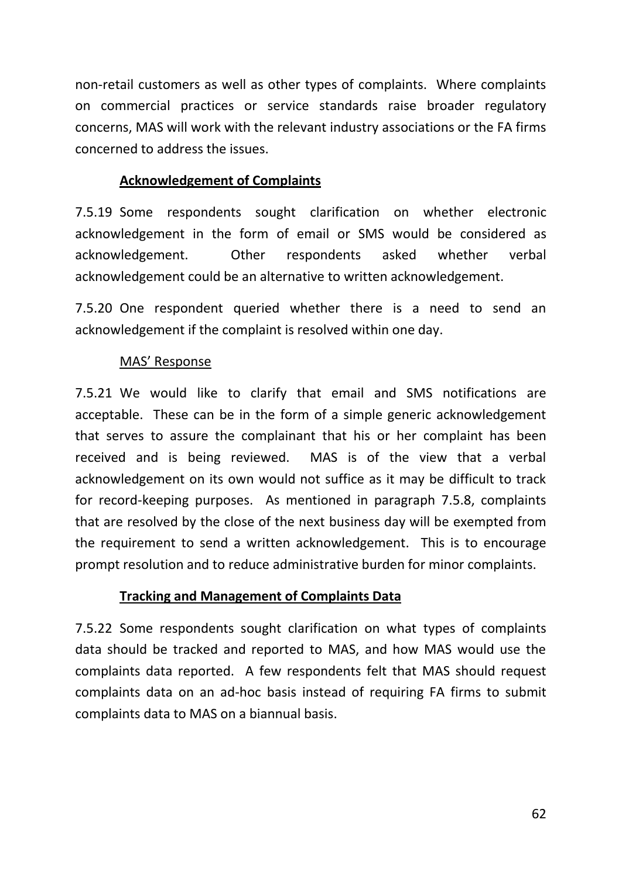non-retail customers as well as other types of complaints. Where complaints on commercial practices or service standards raise broader regulatory concerns, MAS will work with the relevant industry associations or the FA firms concerned to address the issues.

## **Acknowledgement of Complaints**

7.5.19 Some respondents sought clarification on whether electronic acknowledgement in the form of email or SMS would be considered as acknowledgement. Other respondents asked whether verbal acknowledgement could be an alternative to written acknowledgement.

7.5.20 One respondent queried whether there is a need to send an acknowledgement if the complaint is resolved within one day.

## MAS' Response

7.5.21 We would like to clarify that email and SMS notifications are acceptable. These can be in the form of a simple generic acknowledgement that serves to assure the complainant that his or her complaint has been received and is being reviewed. MAS is of the view that a verbal acknowledgement on its own would not suffice as it may be difficult to track for record-keeping purposes. As mentioned in paragraph 7.5.8, complaints that are resolved by the close of the next business day will be exempted from the requirement to send a written acknowledgement. This is to encourage prompt resolution and to reduce administrative burden for minor complaints.

### **Tracking and Management of Complaints Data**

7.5.22 Some respondents sought clarification on what types of complaints data should be tracked and reported to MAS, and how MAS would use the complaints data reported. A few respondents felt that MAS should request complaints data on an ad-hoc basis instead of requiring FA firms to submit complaints data to MAS on a biannual basis.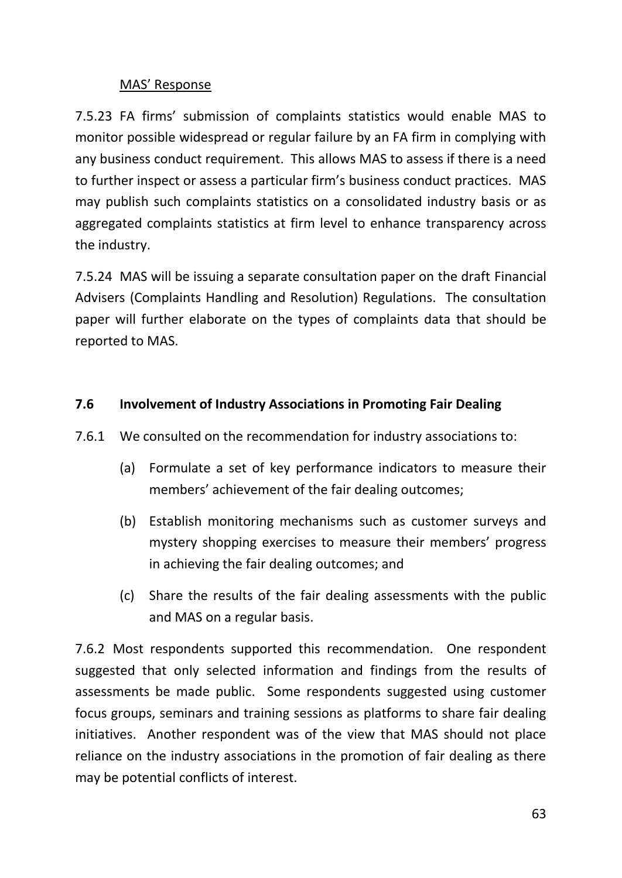## MAS' Response

7.5.23 FA firms' submission of complaints statistics would enable MAS to monitor possible widespread or regular failure by an FA firm in complying with any business conduct requirement. This allows MAS to assess if there is a need to further inspect or assess a particular firm's business conduct practices. MAS may publish such complaints statistics on a consolidated industry basis or as aggregated complaints statistics at firm level to enhance transparency across the industry.

7.5.24 MAS will be issuing a separate consultation paper on the draft Financial Advisers (Complaints Handling and Resolution) Regulations. The consultation paper will further elaborate on the types of complaints data that should be reported to MAS.

# **7.6 Involvement of Industry Associations in Promoting Fair Dealing**

- 7.6.1 We consulted on the recommendation for industry associations to:
	- (a) Formulate a set of key performance indicators to measure their members' achievement of the fair dealing outcomes;
	- (b) Establish monitoring mechanisms such as customer surveys and mystery shopping exercises to measure their members' progress in achieving the fair dealing outcomes; and
	- (c) Share the results of the fair dealing assessments with the public and MAS on a regular basis.

7.6.2 Most respondents supported this recommendation. One respondent suggested that only selected information and findings from the results of assessments be made public. Some respondents suggested using customer focus groups, seminars and training sessions as platforms to share fair dealing initiatives. Another respondent was of the view that MAS should not place reliance on the industry associations in the promotion of fair dealing as there may be potential conflicts of interest.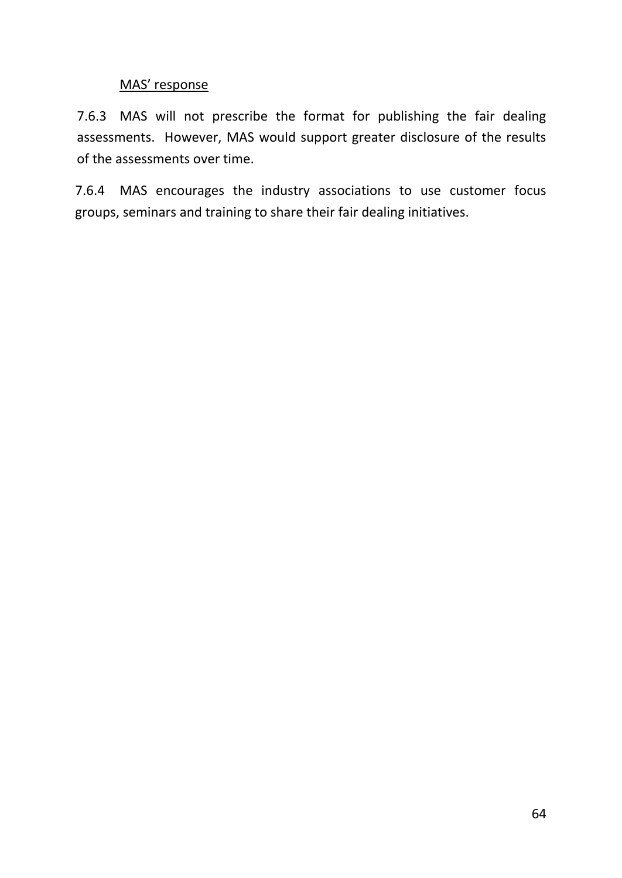## MAS' response

7.6.3 MAS will not prescribe the format for publishing the fair dealing assessments. However, MAS would support greater disclosure of the results of the assessments over time.

7.6.4 MAS encourages the industry associations to use customer focus groups, seminars and training to share their fair dealing initiatives.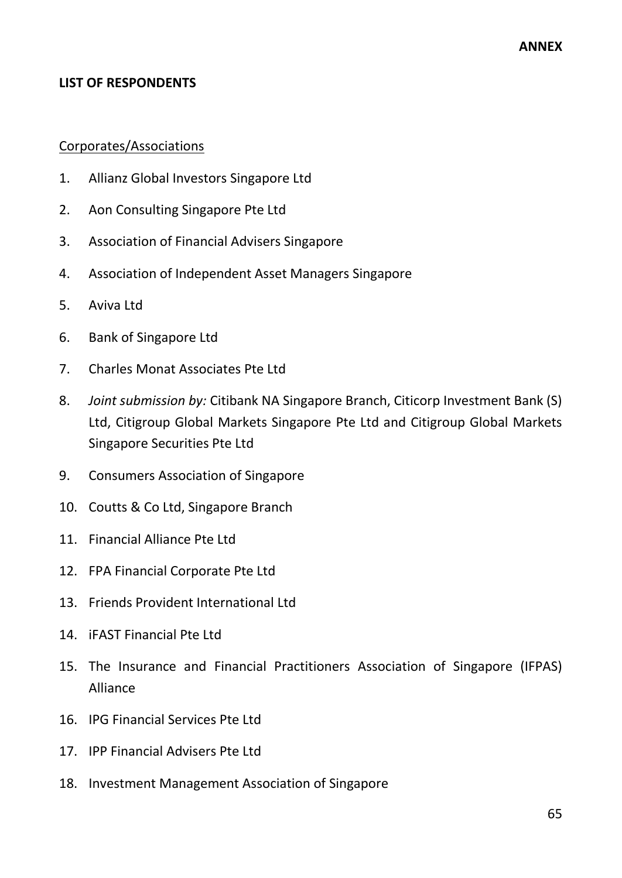#### **LIST OF RESPONDENTS**

#### Corporates/Associations

- 1. Allianz Global Investors Singapore Ltd
- 2. Aon Consulting Singapore Pte Ltd
- 3. Association of Financial Advisers Singapore
- 4. Association of Independent Asset Managers Singapore
- 5. Aviva Ltd
- 6. Bank of Singapore Ltd
- 7. Charles Monat Associates Pte Ltd
- 8. *Joint submission by:* Citibank NA Singapore Branch, Citicorp Investment Bank (S) Ltd, Citigroup Global Markets Singapore Pte Ltd and Citigroup Global Markets Singapore Securities Pte Ltd
- 9. Consumers Association of Singapore
- 10. Coutts & Co Ltd, Singapore Branch
- 11. Financial Alliance Pte Ltd
- 12. FPA Financial Corporate Pte Ltd
- 13. Friends Provident International Ltd
- 14. iFAST Financial Pte Ltd
- 15. The Insurance and Financial Practitioners Association of Singapore (IFPAS) Alliance
- 16. IPG Financial Services Pte Ltd
- 17. IPP Financial Advisers Pte Ltd
- 18. Investment Management Association of Singapore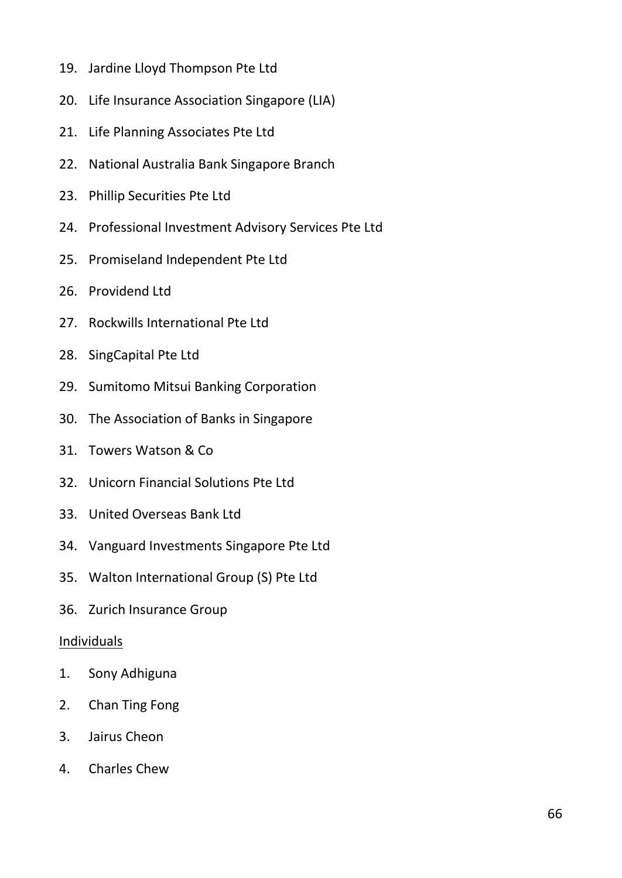- 19. Jardine Lloyd Thompson Pte Ltd
- 20. Life Insurance Association Singapore (LIA)
- 21. Life Planning Associates Pte Ltd
- 22. National Australia Bank Singapore Branch
- 23. Phillip Securities Pte Ltd
- 24. Professional Investment Advisory Services Pte Ltd
- 25. Promiseland Independent Pte Ltd
- 26. Providend Ltd
- 27. Rockwills International Pte Ltd
- 28. SingCapital Pte Ltd
- 29. Sumitomo Mitsui Banking Corporation
- 30. The Association of Banks in Singapore
- 31. Towers Watson & Co
- 32. Unicorn Financial Solutions Pte Ltd
- 33. United Overseas Bank Ltd
- 34. Vanguard Investments Singapore Pte Ltd
- 35. Walton International Group (S) Pte Ltd
- 36. Zurich Insurance Group

### **Individuals**

- 1. Sony Adhiguna
- 2. Chan Ting Fong
- 3. Jairus Cheon
- 4. Charles Chew